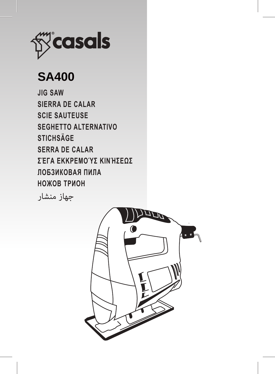

# **SA400**

**JIG SAW SIERRA DE CALAR SCIE SAUTEUSE SEGHETTO ALTERNATIVO STICHSÄGE SERRA DE CALAR ΣΈΓΑ ΕΚΚΡΕΜΟΎΣ ΚΙΝΉΣΕΩΣ ЛОБЗИКОВАЯ ПИЛА НОЖОВ ТРИОН**

جهاز منشار

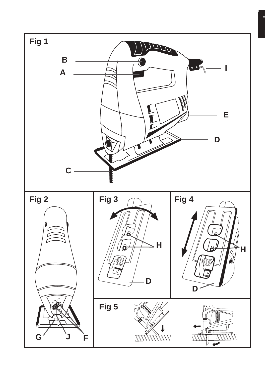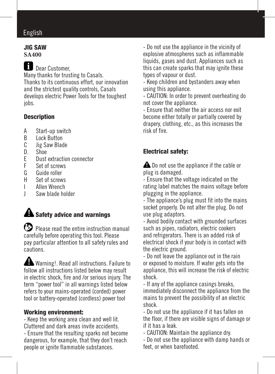# English

#### JIG SAW **SA400**

**Dear Customer,** Many thanks for trusting to Casals. Thanks to its continuous effort, our innovation and the strictest quality controls, Casals develops electric Power Tools for the toughest inhs

### **Description**

- A Start-up switch<br>B Lock Button
- B Lock Button<br>C lig Saw Blag
- C Jig Saw Blade<br>D Shoe
- $D.$  Shoe
- E Dust extraction connector<br>E Set of screws
- F Set of screws<br>G Guide roller
- G Guide roller<br>H Set of screw
- H Set of screws
- **I** Allen Wrench<br>I Saw blade ho
- Saw blade holder

# **A** Safety advice and warnings

 Please read the entire instruction manual carefully before operating this tool. Please pay particular attention to all safety rules and cautions.

Warning!. Read all instructions. Failure to follow all instructions listed below may result in electric shock, fire and /or serious injury. The term "power tool" in all warnings listed below refers to your mains-operated (corded) power tool or battery-operated (cordless) power tool

### Working environment:

- Keep the working area clean and well lit. Cluttered and dark areas invite accidents. - Ensure that the resulting sparks not become dangerous, for example, that they don't reach people or ignite flammable substances.

- Do not use the appliance in the vicinity of explosive atmospheres such as inflammable liquids, gases and dust. Appliances such as this can create sparks that may ignite these types of vapour or dust.

- Keep children and bystanders away when using this appliance.

- CAUTION: In order to prevent overheating do not cover the appliance.

- Ensure that neither the air access nor exit become either totally or partially covered by drapery, clothing, etc., as this increases the risk of fire.

### Electrical safety:

**A** Do not use the appliance if the cable or plug is damaged.

- Ensure that the voltage indicated on the rating label matches the mains voltage before plugging in the appliance.

- The appliance's plug must fit into the mains socket properly. Do not alter the plug. Do not use plug adaptors.

- Avoid bodily contact with grounded surfaces such as pipes, radiators, electric cookers and refrigerators. There is an added risk of electrical shock if your body is in contact with the electric ground.

- Do not leave the appliance out in the rain or exposed to moisture. If water gets into the appliance, this will increase the risk of electric shock.

- If any of the appliance casings breaks, immediately disconnect the appliance from the mains to prevent the possibility of an electric shock.

- Do not use the appliance if it has fallen on the floor, if there are visible signs of damage or if it has a leak.

- CAUTION: Maintain the appliance dry.

- Do not use the appliance with damp hands or feet, or when barefooted.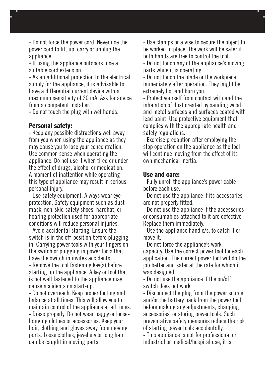- Do not force the power cord. Never use the power cord to lift up, carry or unplug the appliance.

- If using the appliance outdoors, use a suitable cord extension.

- As an additional protection to the electrical supply for the appliance, it is advisable to have a differential current device with a maximum sensitivity of 30 mA. Ask for advice from a competent installer.

- Do not touch the plug with wet hands.

#### Personal safety:

- Keep any possible distractions well away from you when using the appliance as they may cause you to lose your concentration. Use common sense when operating the appliance. Do not use it when tired or under the effect of drugs, alcohol or medication. A moment of inattention while operating this type of appliance may result in serious personal injury.

- Use safety equipment. Always wear eye protection. Safety equipment such as dust mask, non-skid safety shoes, hardhat, or hearing protection used for appropriate conditions will reduce personal injuries. - Avoid accidental starting. Ensure the

switch is in the off-position before plugging in. Carrying power tools with your fingers on the switch or plugging in power tools that have the switch in invites accidents.

- Remove the tool fastening key(s) before starting up the appliance. A key or tool that is not well fastened to the appliance may cause accidents on start-up.

- Do not overreach. Keep proper footing and balance at all times. This will allow you to maintain control of the appliance at all times.

- Dress properly. Do not wear baggy or loosehanging clothes or accessories. Keep your hair, clothing and gloves away from moving parts. Loose clothes, jewellery or long hair can be caught in moving parts.

- Use clamps or a vise to secure the object to be worked in place. The work will be safer if both hands are free to control the tool.

- Do not touch any of the appliance's moving parts while it is operating.

- Do not touch the blade or the workpiece immediately after operation. They might be extremely hot and burn you.

- Protect yourself from contact with and the inhalation of dust created by sanding wood and metal surfaces and surfaces coated with lead paint. Use protective equipment that complies with the appropriate health and safety regulations.

- Exercise precaution after employing the stop operation on the appliance as the tool will continue moving from the effect of its own mechanical inertia.

#### Use and care:

- Fully unroll the appliance's power cable before each use.

- Do not use the appliance if its accessories are not properly fitted.

- Do not use the appliance if the accessories or consumables attached to it are defective. Replace them immediately.

- Use the appliance handle/s, to catch it or move it.

- Do not force the appliance's work capacity. Use the correct power tool for each application. The correct power tool will do the job better and safer at the rate for which it was designed.

- Do not use the appliance if the on/off switch does not work.

- Disconnect the plug from the power source and/or the battery pack from the power tool before making any adjustments, changing accessories, or storing power tools. Such preventative safety measures reduce the risk of starting power tools accidentally.

- This appliance is not for professional or industrial or medical/hospital use, it is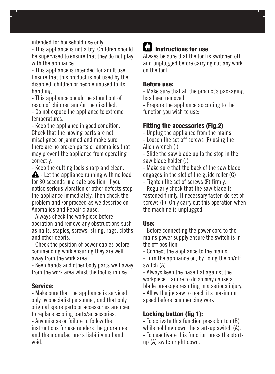intended for household use only.

- This appliance is not a toy. Children should be supervised to ensure that they do not play with the appliance.

- This appliance is intended for adult use. Ensure that this product is not used by the disabled, children or people unused to its handling.

- This appliance should be stored out of reach of children and/or the disabled.

- Do not expose the appliance to extreme temperatures.

- Keep the appliance in good condition. Check that the moving parts are not misaligned or jammed and make sure there are no broken parts or anomalies that may prevent the appliance from operating correctly.

- Keep the cutting tools sharp and clean.

 $\triangle$  - Let the appliance running with no load for 30 seconds in a safe position. If you notice serious vibration or other defects stop the appliance immediately. Then check the problem and /or proceed as we describe on Anomalies and Repair clause.

- Always check the workpiece before operation and remove any obstructions such as nails, staples, screws, string, rags, cloths and other debris.

- Check the position of power cables before commencing work ensuring they are well away from the work area.

- Keep hands and other body parts well away from the work area whist the tool is in use.

#### Service:

- Make sure that the appliance is serviced only by specialist personnel, and that only original spare parts or accessories are used to replace existing parts/accessories. - Any misuse or failure to follow the instructions for use renders the guarantee and the manufacturer's liability null and void.

# **ID** Instructions for use

Always be sure that the tool is switched off and unplugged before carrying out any work on the tool.

#### Before use:

- Make sure that all the product's packaging has been removed.

- Prepare the appliance according to the function you wish to use:

#### Fitting the accessories (Fig.2)

- Unplug the appliance from the mains.

- Loosen the set off screws (F) using the Allen wrench (I)

- Slide the saw blade up to the stop in the saw blade holder (J)

- Make sure that the back of the saw blade engages in the slot of the guide roller (G)

- Tighten the set of screws (F) firmly.

- Regularly check that the saw blade is fastened firmly. If necessary fasten de set of screws (F). Only carry out this operation when the machine is unplugged.

#### Use:

- Before connecting the power cord to the mains power supply ensure the switch is in the off position.

- Connect the appliance to the mains.

- Turn the appliance on, by using the on/off switch (A)

- Always keep the base flat against the workpiece. Failure to do so may cause a blade breakage resulting in a serious injury. - Allow the jig saw to reach it's maximum speed before commencing work

#### Locking button (fig 1):

- To activate this function press button (B) while holding down the start-up switch (A). - To deactivate this function press the startup (A) switch right down.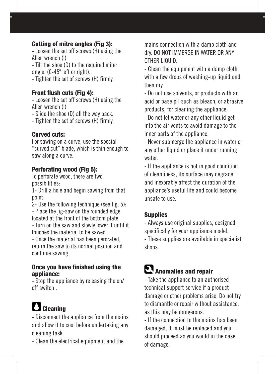### Cutting of mitre angles (Fig 3):

- Loosen the set off screws (H) using the Allen wrench (I)

- Tilt the shoe (D) to the required miter angle. (0-45º left or right).

- Tighten the set of screws (H) firmly.

#### Front flush cuts (Fig 4):

- Loosen the set off screws (H) using the Allen wrench (I)

- Slide the shoe (D) all the way back.

- Tighten the set of screws (H) firmly.

#### Curved cuts:

For sawing on a curve, use the special "curved cut" blade, which is thin enough to saw along a curve.

#### Perforating wood (Fig 5):

To perforate wood, there are two possibilities:

1- Drill a hole and begin sawing from that point.

2- Use the following technique (see fig. 5): - Place the jig-saw on the rounded edge located at the front of the bottom plate.

- Turn on the saw and slowly lower it until it touches the material to be sawed.

- Once the material has been perorated, return the saw to its normal position and continue sawing.

#### Once you have finished using the appliance:

- Stop the appliance by releasing the on/ off switch .

# **C** Cleaning

- Disconnect the appliance from the mains and allow it to cool before undertaking any cleaning task.

- Clean the electrical equipment and the

mains connection with a damp cloth and dry. DO NOT IMMERSE IN WATER OR ANY OTHER LIQUID.

- Clean the equipment with a damp cloth with a few drops of washing-up liquid and then dry.

- Do not use solvents, or products with an acid or base pH such as bleach, or abrasive products, for cleaning the appliance.

- Do not let water or any other liquid get into the air vents to avoid damage to the inner parts of the appliance.

- Never submerge the appliance in water or any other liquid or place it under running water

- If the appliance is not in good condition of cleanliness, its surface may degrade and inexorably affect the duration of the appliance's useful life and could become unsafe to use.

### **Supplies**

shops.

- Always use original supplies, designed specifically for your appliance model. - These supplies are available in specialist

# **Anomalies and repair**

- Take the appliance to an authorised technical support service if a product damage or other problems arise. Do not try to dismantle or repair without assistance, as this may be dangerous.

- If the connection to the mains has been damaged, it must be replaced and you should proceed as you would in the case of damage.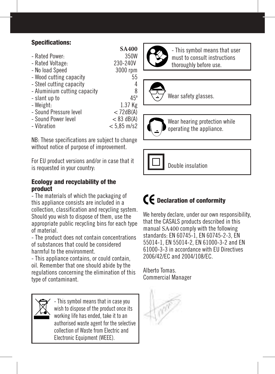### Specifications:

| 3A4W          |
|---------------|
| 350W          |
| 230-240V      |
| 3000 rpm      |
| 55            |
| 4             |
| 8             |
| $45^\circ$    |
| 1.37 Kg       |
| < 72dB(A)     |
| $< 83$ dB(A)  |
| $< 5.85$ m/s2 |
|               |

NB: These specifications are subject to change without notice of purpose of improvement.

For EU product versions and/or in case that it is requested in your country:

#### Ecology and recyclability of the product

- The materials of which the packaging of this appliance consists are included in a collection, classification and recycling system. Should you wish to dispose of them, use the appropriate public recycling bins for each type of material.

- The product does not contain concentrations of substances that could be considered harmful to the environment.

- This appliance contains, or could contain, oil. Remember that one should abide by the regulations concerning the elimination of this type of contaminant.

> - This symbol means that in case you wish to dispose of the product once its working life has ended, take it to an authorised waste agent for the selective collection of Waste from Electric and Electronic Equipment (WEEE).



**SA400**

- This symbol means that user must to consult instructions thoroughly before use.





Wear hearing protection while operating the appliance.



# $\mathbf f$  Declaration of conformity

We hereby declare, under our own responsibility, that the CASALS products described in this manual SA400 comply with the following standards: EN 60745-1, EN 60745-2-3, EN 55014-1, EN 55014-2, EN 61000-3-2 and EN 61000-3-3 in accordance with EU Directives 2006/42/EC and 2004/108/EC.

Alberto Tomas. Commercial Manager

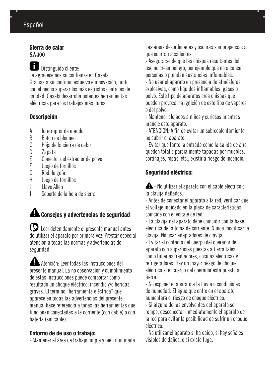# Español

#### Sierra de calar **SA400**

 Distinguido cliente: Le agradecemos su confianza en Casals. Gracias a su continuo esfuerzo e innovación, junto con el hecho superar los más estrictos controles de calidad, Casals desarrolla potentes herramientas eléctricas para los trabajos más duros.

### Descripción

- A Interruptor de mando<br>B Botón de bloqueo
- B Botón de bloqueo<br>C Hoia de la sierra
- C Hoja de la sierra de calar
- D Zapata<br>F Conecto
- E Conector del extractor de polvo<br>El luego de tornillos
- F Juego de tornillos
- G Rodillo guía<br>H luego de tori
- Juego de tornillos
- I Llave Allen
- J Soporte de la hoja de sierra

# **A** Consejos y advertencias de seguridad

 Leer detenidamente el presente manual antes de utilizar el aparato por primera vez. Prestar especial atención a todas las normas y advertencias de seguridad.

 Atención: Leer todas las instrucciones del presente manual. La no observación y cumplimiento de estas instrucciones puede comportar como resultado un choque eléctrico, incendio y/o heridas graves. El término "herramienta eléctrica" que aparece en todas las advertencias del presente manual hace referencia a todas las herramientas que funcionan conectadas a la corriente (con cable) o con batería (sin cable).

### Entorno de de uso o trabajo:

- Mantener el área de trabajo limpia y bien iluminada.

Las áreas desordenadas y oscuras son propensas a que ocurran accidentes.

- Asegurarse de que las chispas resultantes del uso no creen peligro, por ejemplo que no alcancen personas o prendan sustancias inflamables.

- No usar el aparato en presencia de atmósferas explosivas, como líquidos inflamables, gases o polvo. Este tipo de aparatos crea chispas que pueden provocar la ignición de este tipo de vapores o del polvo.

- Mantener alejados a niños y curiosos mientras maneje este aparato.

- ATENCIÓN: A fin de evitar un sobrecalentamiento, no cubrir el aparato.

- Evitar que tanto la entrada como la salida de aire queden total o parcialmente tapadas por muebles, cortinajes, ropas, etc., existiría riesgo de incendio.

## Seguridad eléctrica:

 $\triangle$  - No utilizar el aparato con el cable eléctrico o la clavija dañados.

- Antes de conectar el aparato a la red, verificar que el voltaje indicado en la placa de características coincide con el voltaje de red.

- La clavija del aparato debe coincidir con la base eléctrica de la toma de corriente. Nunca modificar la clavija. No usar adaptadores de clavija.

- Evitar el contacto del cuerpo del operador del aparato con superficies puestas a tierra tales como tuberías, radiadores, cocinas eléctricas y refrigeradores. Hay un mayor riesgo de choque eléctrico si el cuerpo del operador está puesto a tierra.

- No exponer el aparato a la lluvia o condiciones de humedad. El agua que entre en el aparato aumentará el riesgo de choque eléctrico.

- Si alguna de las envolventes del aparato se rompe, desconectar inmediatamente el aparato de la red para evitar la posibilidad de sufrir un choque eléctrico.

- No utilizar el aparato si ha caído, si hay señales visibles de daños, o si existe fuga.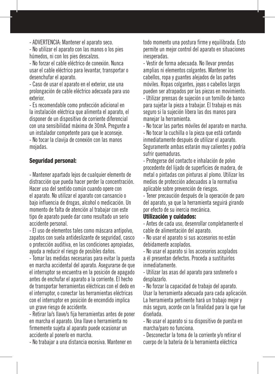- ADVERTENCIA: Mantener el aparato seco.

- No utilizar el aparato con las manos o los pies húmedos, ni con los pies descalzos.

- No forzar el cable eléctrico de conexión. Nunca usar el cable eléctrico para levantar, transportar o desenchufar el aparato.

- Caso de usar el aparato en el exterior, use una prolongación de cable eléctrico adecuada para uso exterior.

- Es recomendable como protección adicional en la instalación eléctrica que alimenta el aparato, el disponer de un dispositivo de corriente diferencial con una sensibilidad máxima de 30mA. Pregunte a un instalador competente para que le aconseje. - No tocar la clavija de conexión con las manos mojadas.

#### Seguridad personal:

- Mantener apartado lejos de cualquier elemento de distracción que pueda hacer perder la concentración. Hacer uso del sentido común cuando opere con el aparato. No utilizar el aparato con cansancio o bajo influencia de drogas, alcohol o medicación. Un momento de falta de atención al trabajar con este tipo de aparato puede dar como resultado un serio accidente personal.

- El uso de elementos tales como máscara antipolvo, zapatos con suela antideslizante de seguridad, casco o protección auditiva, en las condiciones apropiadas, ayuda a reducir el riesgo de posibles daños.

- Tomar las medidas necesarias para evitar la puesta en marcha accidental del aparato. Asegurarse de que el interruptor se encuentra en la posición de apagado antes de enchufar el aparato a la corriente. El hecho de transportar herramientas eléctricas con el dedo en el interruptor, o conectar las herramientas eléctricas con el interruptor en posición de encendido implica un grave riesgo de accidente.

- Retirar la/s llave/s fija herramientas antes de poner en marcha el aparato. Una llave o herramienta no firmemente sujeta al aparato puede ocasionar un accidente al ponerlo en marcha.

- No trabajar a una distancia excesiva. Mantener en

todo momento una postura firme y equilibrada. Esto permite un mejor control del aparato en situaciones inesperadas.

- Vestir de forma adecuada. No llevar prendas amplias ni elementos colgantes. Mantener los cabellos, ropa y guantes alejados de las partes móviles. Ropas colgantes, joyas o cabellos largos pueden ser atrapados por las piezas en movimiento. - Utilizar prensas de sujeción o un tornillo de banco para sujetar la pieza a trabajar. El trabajo es más seguro si la sujeción libera las dos manos para manejar la herramienta.

- No tocar las partes móviles del aparato en marcha. - No tocar la cuchilla o la pieza que está cortando inmediatamente después de utilizar el aparato. Seguramente ambas estarán muy calientes y podría sufrir quemaduras.

- Protegerse del contacto e inhalación de polvo procedente del lijado de superficies de madera, de metal o pintadas con pinturas al plomo. Utilizar los medios de protección adecuados a la normativa aplicable sobre prevención de riesgos.

- Tener precaución después de la operación de paro del aparato, ya que la herramienta seguirá girando por efecto de su inercia mecánica.

#### Utilización y cuidados:

- Antes de cada uso, desenrollar completamente el cable de alimentación del aparato.

- No usar el aparato si sus accesorios no están debidamente acoplados.

- No usar el aparato si los accesorios acoplados a él presentan defectos. Proceda a sustituirlos inmediatamente.

- Utilizar las asas del aparato para sostenerlo o desplazarlo.

- No forzar la capacidad de trabajo del aparato. Usar la herramienta adecuada para cada aplicación. La herramienta pertinente hará un trabajo mejor y más seguro, acorde con la finalidad para la que fue diseñada.

- No usar el aparato si su dispositivo de puesta en marcha/paro no funciona.

- Desconectar la toma de la corriente y/o retirar el cuerpo de la batería de la herramienta eléctrica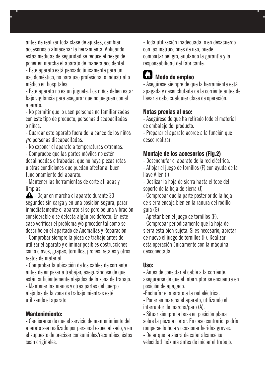antes de realizar toda clase de ajustes, cambiar accesorios o almacenar la herramienta. Aplicando estas medidas de seguridad se reduce el riesgo de poner en marcha el aparato de manera accidental. - Este aparato está pensado únicamente para un

uso doméstico, no para uso profesional o industrial o médico en hospitales.

- Este aparato no es un juguete. Los niños deben estar bajo vigilancia para asegurar que no jueguen con el aparato

- No permitir que lo usen personas no familiarizadas con este tipo de producto, personas discapacitadas o niños.

- Guardar este aparato fuera del alcance de los niños y/o personas discapacitadas.

- No exponer el aparato a temperaturas extremas.

- Compruebe que las partes móviles no estén desalineadas o trabadas, que no haya piezas rotas u otras condiciones que puedan afectar al buen funcionamiento del aparato.

- Mantener las herramientas de corte afiladas y limpias.

 $\triangle$  - Dejar en marcha el aparato durante 30 segundos sin carga y en una posición segura, parar inmediatamente el aparato si se percibe una vibración considerable o se detecta algún oro defecto. En este caso verificar el problema y/o proceder tal como se describe en el apartado de Anomalías y Reparación.

- Comprobar siempre la pieza de trabajo antes de utilizar el aparato y eliminar posibles obstrucciones como clavos, grapas, tornillos, jirones, retales y otros restos de material.

- Comprobar la ubicación de los cables de corriente antes de empezar a trabajar, asegurándose de que están suficientemente alejados de la zona de trabajo. - Mantener las manos y otras partes del cuerpo alejadas de la zona de trabajo mientras esté utilizando el aparato.

### Mantenimiento:

- Cerciorarse de que el servicio de mantenimiento del aparato sea realizado por personal especializado, y en el supuesto de precisar consumibles/recambios, éstos sean originales.

- Toda utilización inadecuada, o en desacuerdo con las instrucciones de uso, puede comportar peligro, anulando la garantía y la responsabilidad del fabricante.

# Modo de empleo

- Asegúrese siempre de que la herramienta está apagada y desenchufada de la corriente antes de llevar a cabo cualquier clase de operación.

### Notas previas al uso:

- Asegúrese de que ha retirado todo el material de embalaje del producto.

- Preparar el aparato acorde a la función que desee realizar:

# Montaje de los accesorios (Fig.2)

- Desenchufar el aparato de la red eléctrica.

- Aflojar el juego de tornillos (F) con ayuda de la llave Allen (I)

- Deslizar la hoja de sierra hasta el tope del soporte de la hoja de sierra (J)

- Comprobar que la parte posterior de la hoja de sierra encaja bien en la ranura del rodillo guía (G)

- Apretar bien el juego de tornillos (F).

- Comprobar periódicamente que la hoja de sierra está bien sujeta. Si es necesario, apretar de nuevo el juego de tornillos (F). Realizar esta operación únicamente con la máquina desconectada.

### Uso:

- Antes de conectar el cable a la corriente, asegurarse de que el interruptor se encuentra en posición de apagado.

-Enchufar el aparato a la red eléctrica.

- Poner en marcha el aparato, utilizando el interruptor de marcha/paro (A).

- Situar siempre la base en posición plana sobre la pieza a cortar. En caso contrario, podría romperse la hoja y ocasionar heridas graves.

- Dejar que la sierra de calar alcance su velocidad máxima antes de iniciar el trabajo.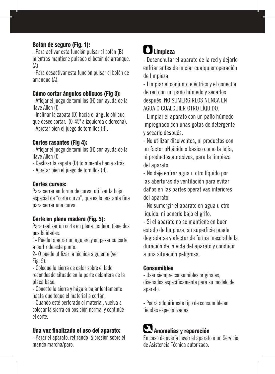#### Botón de seguro (Fig. 1):

- Para activar esta función pulsar el botón (B) mientras mantiene pulsado el botón de arranque. (A)

- Para desactivar esta función pulsar el botón de arranque (A).

#### Cómo cortar ángulos oblicuos (Fig 3):

- Aflojar el juego de tornillos (H) con ayuda de la llave Allen (I)

- Inclinar la zapata (D) hacia el ángulo oblicuo que desee cortar. (0-45º a izquierda o derecha). - Apretar bien el juego de tornillos (H).

### Cortes rasantes (Fig 4):

- Aflojar el juego de tornillos (H) con ayuda de la llave Allen (I)

- Deslizar la zapata (D) totalmente hacia atrás.

- Apretar bien el juego de tornillos (H).

#### Cortes curvos:

Para serrar en forma de curva, utilizar la hoja especial de "corte curvo", que es lo bastante fina para serrar una curva.

#### Corte en plena madera (Fig. 5):

Para realizar un corte en plena madera, tiene dos posibilidades:

1- Puede taladrar un agujero y empezar su corte a partir de este punto.

2- O puede utilizar la técnica siguiente (ver Fig. 5):

- Coloque la sierra de calar sobre el lado redondeado situado en la parte delantera de la placa base.

- Conecte la sierra y hágala bajar lentamente hasta que toque el material a cortar.

- Cuando esté perforado el material, vuelva a colocar la sierra en posición normal y continúe el corte.

#### Una vez finalizado el uso del aparato:

- Parar el aparato, retirando la presión sobre el mando marcha/paro.

# **n** Limpieza

- Desenchufar el aparato de la red y dejarlo enfriar antes de iniciar cualquier operación de limpieza.

- Limpiar el conjunto eléctrico y el conector de red con un paño húmedo y secarlos después. NO SUMERGIRLOS NUNCA EN AGUA O CUALQUIER OTRO LÍQUIDO.

- Limpiar el aparato con un paño húmedo impregnado con unas gotas de detergente y secarlo después.

- No utilizar disolventes, ni productos con un factor pH ácido o básico como la lejía, ni productos abrasivos, para la limpieza del aparato.

- No deje entrar agua u otro líquido por las aberturas de ventilación para evitar daños en las partes operativas interiores del aparato.

- No sumergir el aparato en agua u otro líquido, ni ponerlo bajo el grifo.

- Si el aparato no se mantiene en buen estado de limpieza, su superficie puede degradarse y afectar de forma inexorable la duración de la vida del aparato y conducir a una situación peligrosa.

#### **Consumibles**

- Usar siempre consumibles originales, diseñados específicamente para su modelo de aparato.

- Podrá adquirir este tipo de consumible en tiendas especializadas.

# Anomalías y reparación

En caso de avería llevar el aparato a un Servicio de Asistencia Técnica autorizado.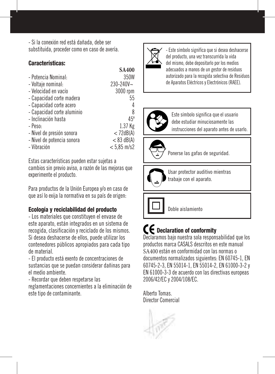- Si la conexión red está dañada, debe ser substituida, proceder como en caso de avería.

#### Características:

|                            | 271111        |
|----------------------------|---------------|
| - Potencia Nominal:        | 350W          |
| - Voltaje nominal:         | 230-240V~     |
| - Velocidad en vacío       | 3000 rpm      |
| - Capacidad corte madera   | 55            |
| - Capacidad corte acero    | 4             |
| - Capacidad corte aluminio | 8             |
| - Inclinación hasta        | $45^\circ$    |
| - Peso:                    | 1.37 Kg       |
| - Nivel de presión sonora  | < 72dB(A)     |
| - Nivel de potencia sonora | $< 83$ dB(A)  |
| - Vibración                | $< 5.85$ m/s2 |

Estas características pueden estar sujetas a cambios sin previo aviso, a razón de las mejoras que experimente el producto.

Para productos de la Unión Europea y/o en caso de que así lo exija la normativa en su país de origen:

#### Ecología y reciclabilidad del producto

- Los materiales que constituyen el envase de este aparato, están integrados en un sistema de recogida, clasificación y reciclado de los mismos. Si desea deshacerse de ellos, puede utilizar los contenedores públicos apropiados para cada tipo de material.

- El producto está exento de concentraciones de sustancias que se puedan considerar dañinas para el medio ambiente.

- Recordar que deben respetarse las

reglamentaciones concernientes a la eliminación de este tipo de contaminante.



**SA400**

- Este símbolo significa que si desea deshacerse del producto, una vez transcurrida la vida del mismo, debe depositarlo por los medios adecuados a manos de un gestor de residuos autorizado para la recogida selectiva de Residuos de Aparatos Eléctricos y Electrónicos (RAEE).

Français



Este símbolo significa que el usuario debe estudiar minuciosamente las instrucciones del aparato antes de usarlo.



Ponerse las gafas de seguridad.



Usar protector auditivo mientras trabaje con el aparato.

Doble aislamiento

# CE Declaration of conformity

Declaramos bajo nuestra sola responsabilidad que los productos marca CASALS descritos en este manual SA400 están en conformidad con las normas o documentos normalizados siguientes: EN 60745-1, EN 60745-2-3, EN 55014-1, EN 55014-2, EN 61000-3-2 y EN 61000-3-3 de acuerdo con las directivas europeas 2006/42/EC y 2004/108/EC.

Alberto Tomas. Director Comercial

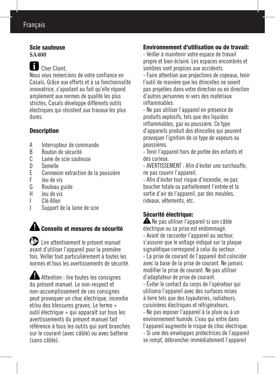# Français

#### Scie sauteuse **SA400**

# Cher Client,

Nous vous remercions de votre confiance en Casals. Grâce aux efforts et à sa fonctionnalité innovatrice, s'ajoutant au fait qu'elle répond amplement aux normes de qualité les plus strictes, Casals développe différents outils électriques qui résistent aux travaux les plus dures.

### **Description**

- A lnterrupteur de commande<br>B Bouton de sécurité
- B Bouton de sécurité<br>C Lame de scie saute
- C Lame de scie sauteuse<br>D Semelle
- D Semelle<br>F Connexie
- E Connexion extraction de la poussière<br>Eleu de vis
- F Jeu de vis
- G Rouleau guide<br>H leu de vis
- H Jeu de vis
- I Clé Allen
- Support de la lame de scie

# $\mathbf A$  Conseils et mesures de sécurité

 Lire attentivement le présent manuel avant d'utiliser l'appareil pour la première fois. Veiller tout particulièrement à toutes les normes et tous les avertissements de sécurité.

Attention : lire toutes les consignes du présent manuel. Le non-respect et non-accomplissement de ces consignes peut provoquer un choc électrique, incendie et/ou des blessures graves. Le terme « outil électrique » qui apparaît sur tous les avertissements du présent manuel fait référence à tous les outils qui sont branchés sur le courant (avec câble) ou avec batterie (sans câble).

### Environnement d'utilisation ou de travail:

- Veiller à maintenir votre espace de travail propre et bien éclairé. Les espaces encombrés et sombres sont propices aux accidents.

- Faire attention aux projections de copeaux, tenir l'outil de manière que les étincelles ne soient pas projetées dans votre direction ou en direction d'autres personnes ni vers des matériaux inflammables.

- Ne pas utiliser l'appareil en présence de produits explosifs, tels que des liquides inflammables, gaz ou poussière. Ce type d'appareils produit des étincelles qui peuvent provoquer l'ignition de ce type de vapeurs ou poussières.

- Tenir l'appareil hors de portée des enfants et des curieux.

- AVERTISSEMENT : Afin d'éviter une surchauffe, ne pas couvrir l'appareil.

- Afin d'éviter tout risque d'incendie, ne pas boucher totale ou partiellement l'entrée et la sortie d'air de l'appareil, par des meubles, rideaux, vêtements, etc.

### Sécurité électrique:

 Ne pas utiliser l'appareil si son câble électrique ou sa prise est endommagé. - Avant de raccorder l'appareil au secteur, s'assurer que le voltage indiqué sur la plaque signalétique correspond à celui du secteur. - La prise de courant de l'appareil doit coïncider avec la base de la prise de courant. Ne jamais modifier la prise de courant. Ne pas utiliser d'adaptateur de prise de courant.

- Éviter le contact du corps de l'opérateur qui utilisera l'appareil avec des surfaces mises à terre tels que des tuyauteries, radiateurs, cuisinières électriques et réfrigérateurs.

- Ne pas exposer l'appareil à la pluie ou à un environnement humide. L'eau qui entre dans l'appareil augmente le risque de choc électrique. - Si une des enveloppes protectrices de l'appareil se rompt, débrancher immédiatement l'appareil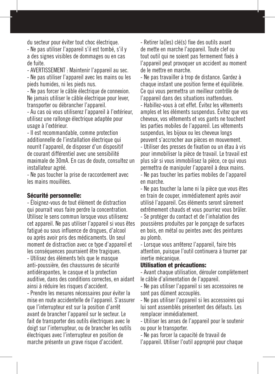du secteur pour éviter tout choc électrique.

- Ne pas utiliser l'appareil s'il est tombé, s'il y a des signes visibles de dommages ou en cas de fuite.

- AVERTISSEMENT : Maintenir l'appareil au sec.

- Ne pas utiliser l'appareil avec les mains ou les pieds humides, ni les pieds nus.

- Ne pas forcer le câble électrique de connexion. Ne jamais utiliser le câble électrique pour lever. transporter ou débrancher l'appareil.

- Au cas où vous utiliserez l'appareil à l'extérieur, utilisez une rallonge électrique adaptée pour usage à l'extérieur.

- Il est recommandable, comme protection additionnelle de l'installation électrique qui nourrit l'appareil, de disposer d'un dispositif de courant différentiel avec une sensibilité maximale de 30mA. En cas de doute, consultez un installateur agréé.

- Ne pas toucher la prise de raccordement avec les mains mouillées.

#### Sécurité personnelle:

- Éloignez-vous de tout élément de distraction qui pourrait vous faire perdre la concentration. Utilisez le sens commun lorsque vous utiliserez cet appareil. Ne pas utiliser l'appareil si vous êtes fatigué ou sous influence de drogues, d'alcool ou après avoir pris des médicaments. Un seul moment de distraction avec ce type d'appareil et les conséquences pourraient être tragiques. - Utilisez des éléments tels que le masque

anti-poussière, des chaussures de sécurité antidérapantes, le casque et la protection auditive, dans des conditions correctes, en aidant ainsi à réduire les risques d'accident.

- Prendre les mesures nécessaires pour éviter la mise en route accidentelle de l'appareil. S'assurer que l'interrupteur est sur la position d'arrêt avant de brancher l'appareil sur le secteur. Le fait de transporter des outils électriques avec le doigt sur l'interrupteur, ou de brancher les outils électriques avec l'interrupteur en position de marche présente un grave risque d'accident.

- Retirer la(les) clé(s) fixe des outils avant de mette en marche l'appareil. Toute clef ou tout outil qui ne soient pas fermement fixés à l'appareil peut provoquer un accident au moment de le mettre en marche.

- Ne pas travailler à trop de distance. Gardez à chaque instant une position ferme et équilibrée. Ce qui vous permettra un meilleur contrôle de l'appareil dans des situations inattendues.

- Habillez-vous à cet effet. Évitez les vêtements amples et les éléments suspendus. Évitez que vos cheveux, vos vêtements et vos gants ne touchent les parties mobiles de l'appareil. Les vêtements suspendus, les bijoux ou les cheveux longs peuvent s'accrocher aux pièces en mouvement.

- Utiliser des presses de fixation ou un étau à vis pour immobiliser la pièce de travail. Le travail est plus sûr si vous immobilisez la pièce, ce qui vous permettra de manipuler l'appareil à deux mains. - Ne pas toucher les parties mobiles de l'appareil en marche.

- Ne pas toucher la lame ni la pièce que vous êtes en train de couper, immédiatement après avoir utilisé l'appareil. Ces éléments seront sûrement extrêmement chauds et vous pourriez vous brûler. - Se protéger du contact et de l'inhalation des poussières produites par le ponçage de surfaces en bois, en métal ou peintes avec des peintures au plomb.

- Lorsque vous arrêterez l'appareil, faire très attention, puisque l'outil continuera à tourner par inertie mécanique.

#### Utilisation et précautions:

- Avant chaque utilisation, dérouler complètement le câble d'alimentation de l'appareil.

- Ne pas utiliser l'appareil si ses accessoires ne sont pas dûment accouplés.

- Ne pas utiliser l'appareil si les accessoires qui lui sont assemblés présentent des défauts. Les remplacer immédiatement.

- Utiliser les anses de l'appareil pour le soutenir ou pour le transporter.

- Ne pas forcer la capacité de travail de

l'appareil. Utiliser l'outil approprié pour chaque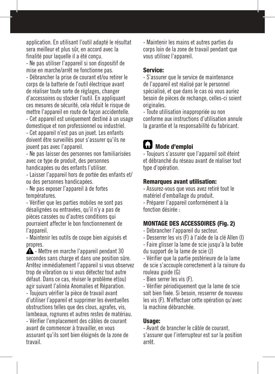application. En utilisant l'outil adapté le résultat sera meilleur et plus sûr, en accord avec la finalité pour laquelle il a été conçu.

- Ne pas utiliser l'appareil si son dispositif de mise en marche/arrêt ne fonctionne pas.

- Débrancher la prise de courant et/ou retirer le corps de la batterie de l'outil électrique avant de réaliser toute sorte de réglages, changer d'accessoires ou stocker l'outil. En appliquant ces mesures de sécurité, cela réduit le risque de mettre l'appareil en route de façon accidentelle.

- Cet appareil est uniquement destiné à un usage domestique et non professionnel ou industriel.

- Cet appareil n'est pas un jouet. Les enfants doivent être surveillés pour s'assurer qu'ils ne jouent pas avec l'appareil.

- Ne pas laisser des personnes non familiarisées avec ce type de produit, des personnes handicapées ou des enfants l'utiliser.

- Laisser l'appareil hors de portée des enfants et/ ou des personnes handicapées.

- Ne pas exposer l'appareil à de fortes températures.

- Vérifier que les parties mobiles ne sont pas désalignées ou entravées, qu'il n'y a pas de pièces cassées ou d'autres conditions qui pourraient affecter le bon fonctionnement de l'appareil.

- Maintenir les outils de coupe bien aiguisés et propres.

 $\triangle$  - Mettre en marche l'appareil pendant 30 secondes sans charge et dans une position sûre. Arrêtez immédiatement l'appareil si vous observez trop de vibration ou si vous détectez tout autre défaut. Dans ce cas, réviser le problème et(ou) agir suivant l'alinéa Anomalies et Réparation. - Toujours vérifier la pièce de travail avant d'utiliser l'appareil et supprimer les éventuelles obstructions telles que des clous, agrafes, vis, lambeaux, rognures et autres restes de matériau. - Vérifier l'emplacement des câbles de courant

avant de commencer à travailler, en vous assurant qu'ils sont bien éloignés de la zone de travail.

- Maintenir les mains et autres parties du corps loin de la zone de travail pendant que vous utilisez l'appareil.

#### Service:

- S'assurer que le service de maintenance de l'appareil est réalisé par le personnel spécialisé, et que dans le cas où vous auriez besoin de pièces de rechange, celles-ci soient originales.

- Toute utilisation inappropriée ou non conforme aux instructions d'utilisation annule la garantie et la responsabilité du fabricant.

# **L.J** Mode d'emploi

- Toujours s'assurer que l'appareil soit éteint et débranché du réseau avant de réaliser tout type d'opération.

#### Remarques avant utilisation:

- Assurez-vous que vous avez retiré tout le matériel d'emballage du produit.

- Préparer l'appareil conformément à la fonction désirée :

### MONTAGE DES ACCESSOIRES (Fig. 2)

- Débrancher l'appareil du secteur.
- Desserrer les vis (F) à l'aide de la clé Allen (I)
- Faire glisser la lame de scie jusqu'à la butée
- du support de la lame de scie (J)

- Vérifier que la partie postérieure de la lame de scie s'accouple correctement à la rainure du rouleau guide (G)

- Bien serrer les vis (F).

- Vérifier périodiquement que la lame de scie soit bien fixée. Si besoin, resserrer de nouveau les vis (F). N'effectuer cette opération qu'avec la machine débranchée.

#### Usage:

- Avant de brancher le câble de courant, s'assurer que l'interrupteur est sur la position arrêt.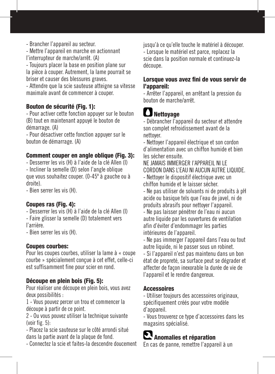- Mettre l'appareil en marche en actionnant l'interrupteur de marche/arrêt. (A)

- Toujours placer la base en position plane sur la pièce à couper. Autrement, la lame pourrait se briser et causer des blessures graves.

- Attendre que la scie sauteuse atteigne sa vitesse maximale avant de commencer à couper.

### Bouton de sécurité (Fig. 1):

- Pour activer cette fonction appuyer sur le bouton (B) tout en maintenant appuyé le bouton de démarrage. (A)

- Pour désactiver cette fonction appuyer sur le bouton de démarrage. (A)

### Comment couper en angle oblique (Fig. 3):

- Desserrer les vis (H) à l'aide de la clé Allen (I) - Incliner la semelle (D) selon l'angle oblique que vous souhaitez couper. (0-45º à gauche ou à droite).

- Bien serrer les vis (H).

### Coupes ras (Fig. 4):

- Desserrer les vis (H) à l'aide de la clé Allen (I)
- Faire glisser la semelle (D) totalement vers l'arrière.

- Bien serrer les vis (H).

### Coupes courbes:

Pour les coupes courbes, utiliser la lame à « coupe courbe » spécialement conçue à cet effet, celle-ci est suffisamment fine pour scier en rond.

### Découpe en plein bois (Fig. 5):

Pour réaliser une découpe en plein bois, vous avez deux possibilités :

1 - Vous pouvez percer un trou et commencer la découpe à partir de ce point.

2 - Ou vous pouvez utiliser la technique suivante (voir fig. 5):

- Placez la scie sauteuse sur le côté arrondi situé dans la partie avant de la plaque de fond.

- Connectez la scie et faites-la descendre doucement

jusqu'à ce qu'elle touche le matériel à découper. - Lorsque le matériel est parce, replacez la scie dans la position normale et continuez-la découpe.

#### Lorsque vous avez fini de vous servir de l'appareil:

- Arrêter l'appareil, en arrêtant la pression du bouton de marche/arrêt.

# **Nettoyage**

- Débrancher l'appareil du secteur et attendre son complet refroidissement avant de la nettoyer.

- Nettoyer l'appareil électrique et son cordon d'alimentation avec un chiffon humide et bien les sécher ensuite.

NE JAMAIS IMMERGER l'APPAREIL NI LE CORDON DANS L'EAU NI AUCUN AUTRE LIQUIDE. - Nettoyer le dispositif électrique avec un chiffon humide et le laisser sécher.

- Ne pas utiliser de solvants ni de produits à pH acide ou basique tels que l'eau de javel, ni de produits abrasifs pour nettoyer l'appareil.

- Ne pas laisser pénétrer de l'eau ni aucun autre liquide par les ouvertures de ventilation afin d'éviter d'endommager les parties intérieures de l'appareil.

- Ne pas immerger l'appareil dans l'eau ou tout autre liquide, ni le passer sous un robinet.

- Si l'appareil n'est pas maintenu dans un bon état de propreté, sa surface peut se dégrader et affecter de façon inexorable la durée de vie de l'appareil et le rendre dangereux.

### **Accessoires**

- Utiliser toujours des accessoires originaux, spécifiquement créés pour votre modèle d'appareil.

- Vous trouverez ce type d'accessoires dans les magasins spécialisé.

# **Anomalies et réparation**

En cas de panne, remettre l'appareil à un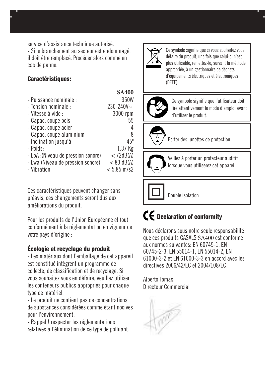service d'assistance technique autorisé.

- Si le branchement au secteur est endommagé, il doit être remplacé. Procéder alors comme en cas de panne.

### Caractéristiques:

|                                     | <b>SA400</b>  |
|-------------------------------------|---------------|
| - Puissance nominale :              | 350W          |
| - Tension nominale :                | 230-240V~     |
| - Vitesse à vide :                  | 3000 rpm      |
| - Capac. coupe bois                 | 55            |
| - Capac. coupe acier                |               |
| - Capac. coupe aluminium            | 8             |
| - Inclination jusqu'à               | $45^\circ$    |
| - Poids:                            | 1.37 Kg       |
| - LpA : (Niveau de pression sonore) | $<$ 72dB(A)   |
| - Lwa (Niveau de pression sonore)   | $< 83$ dB(A)  |
| - Vibration                         | $< 5.85$ m/s2 |

Ces caractéristiques peuvent changer sans préavis, ces changements seront dus aux améliorations du produit.

Pour les produits de l'Union Européenne et (ou) conformément à la réglementation en vigueur de votre pays d'origine :

### Écologie et recyclage du produit

- Les matériaux dont l'emballage de cet appareil est constitué intègrent un programme de collecte, de classification et de recyclage. Si vous souhaitez vous en défaire, veuillez utiliser les conteneurs publics appropriés pour chaque type de matériel.

- Le produit ne contient pas de concentrations de substances considérées comme étant nocives pour l'environnement.

- Rappel ! respecter les réglementations relatives à l'élimination de ce type de polluant.



Ce symbole signifie que si vous souhaitez vous défaire du produit, une fois que celui-ci n'est plus utilisable, remettez-le, suivant la méthode appropriée, à un gestionnaire de déchets d'équipements électriques et électroniques (DEEE).



Ce symbole signifie que l'utilisateur doit lire attentivement le mode d'emploi avant d'utiliser le produit.



Porter des lunettes de protection.



Veillez à porter un protecteur auditif lorsque vous utiliserez cet appareil.

Double isolation

# CE Declaration of conformity

Nous déclarons sous notre seule responsabilité que ces produits CASALS SA400 est conforme aux normes suivantes: EN 60745-1, EN 60745-2-3, EN 55014-1, EN 55014-2, EN 61000-3-2 et EN 61000-3-3 en accord avec les directives 2006/42/EC et 2004/108/EC.

Alberto Tomas. Directeur Commercial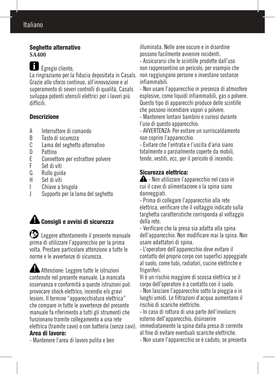## Italiano

#### Seghetto alternativo **SA400**

Egregio cliente,

La ringraziamo per la fiducia depositata in Casals. Grazie allo sforzo continuo, all'innovazione e al superamento di severi controlli di qualità, Casals sviluppa potenti utensili elettrici per i lavori più difficili.

### Descrizione

- A Interruttore di comando<br>B Tasto di sicurezza
- B Tasto di sicurezza<br>C. Lama del segbetto
- C Lama del seghetto alternativo<br>D Pattino
- D Pattino<br>E Connett
- E Connettore per estrattore polvere<br>F Set di viti
- F Set di viti
- Rullo guida
- H Set di viti
- Chiave a brugola
- J Supporto per la lama del seghetto

# Consigli e avvisi di sicurezza

 Leggere attentamente il presente manuale prima di utilizzare l'apparecchio per la prima volta. Prestare particolare attenzione a tutte le norme e le avvertenze di sicurezza.

Attenzione: Leggere tutte le istruzioni contenute nel presente manuale. La mancata osservanza e conformità a queste istruzioni può provocare shock elettrico, incendio e/o gravi lesioni. Il termine "apparecchiatura elettrica" che compare in tutte le avvertenze del presente manuale fa riferimento a tutti gli strumenti che funzionano tramite collegamento a una rete elettrica (tramite cavo) o con batteria (senza cavi). Area di lavoro:

- Mantenere l'area di lavoro pulita e ben

illuminata. Nelle aree oscure e in disordine possono facilmente avvenire incidenti.

- Assicurarsi che le scintille prodotte dall'uso non rappresentino un pericolo, per esempio che non raggiungano persone o investano sostanze infiammabili.

- Non usare l'apparecchio in presenza di atmosfere esplosive, come liquidi infiammabili, gas o polvere. Questo tipo di apparecchi produce delle scintille che possono incendiare vapori o polvere.

- Mantenere lontani bambini e curiosi durante l'uso di questo apparecchio.

- AVVERTENZA: Per evitare un surriscaldamento non coprire l'apparecchio.

- Evitare che l'entrata e l'uscita d'aria siano totalmente o parzialmente coperte da mobili, tende, vestiti, ecc, per il pericolo di incendio.

### Sicurezza elettrica:

- Non utilizzare l'apparecchio nel caso in cui il cavo di alimentazione o la spina siano danneggiati.

- Prima di collegare l'apparecchio alla rete elettrica, verificare che il voltaggio indicato sulla targhetta caratteristiche corrisponda al voltaggio della rete.

- Verificare che la presa sia adatta alla spina dell'apparecchio. Non modificare mai la spina. Non usare adattatori di spina.

- L'operatore dell'apparecchio deve evitare il contatto del proprio corpo con superfici appoggiate al suolo, come tubi, radiatori, cucine elettriche e frigoriferi.

Vi è un rischio maggiore di scossa elettrica se il corpo dell'operatore è a contatto con il suolo.

- Non lasciare l'apparecchio sotto la pioggia o in luoghi umidi. Le filtrazioni d'acqua aumentano il rischio di scariche elettriche.

- In caso di rottura di una parte dell'involucro esterno dell'apparecchio, disinserire immediatamente la spina dalla presa di corrente al fine di evitare eventuali scariche elettriche.

- Non usare l'apparecchio se è caduto, se presenta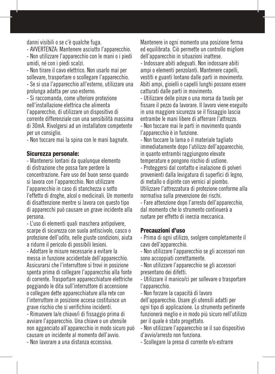danni visibili o se c'è qualche fuga.

- AVVERTENZA: Mantenere asciutto l'apparecchio.

- Non utilizzare l'apparecchio con le mani o i piedi umidi, né con i piedi scalzi.

- Non tirare il cavo elettrico. Non usarlo mai per sollevare, trasportare o scollegare l'apparecchio. - Se si usa l'apparecchio all'esterno, utilizzare una prolunga adatta per uso esterno.

- Si raccomanda, come ulteriore protezione nell'installazione elettrica che alimenta l'apparecchio, di utilizzare un dispositivo di corrente differenziale con una sensibilità massima di 30mA. Rivolgersi ad un installatore competente per un consiglio.

- Non toccare mai la spina con le mani bagnate.

#### Sicurezza personale:

- Mantenersi lontani da qualunque elemento di distrazione che possa fare perdere la concentrazione. Fare uso del buon senso quando si lavora con l'apparecchio. Non utilizzare l'apparecchio in caso di stanchezza o sotto l'effetto di droghe, alcol o medicinali. Un momento di disattenzione mentre si lavora con questo tipo di apparecchi può causare un grave incidente alla persona.

- L'uso di elementi quali maschera antipolvere, scarpe di sicurezza con suola antiscivolo, casco o protezione dell'udito, nelle giuste condizioni, aiuta a ridurre il pericolo di possibili lesioni.

- Adottare le misure necessarie a evitare la messa in funzione accidentale dell'apparecchio. Assicurarsi che l'interruttore si trovi in posizione spenta prima di collegare l'apparecchio alla fonte di corrente. Trasportare apparecchiature elettriche poggiando le dita sull'interruttore di accensione o collegare dette apparecchiature alla rete con l'interruttore in posizione accesa costituisce un grave rischio che si verifichino incidenti.

- Rimuovere la/e chiave/i di fissaggio prima di avviare l'apparecchio. Una chiave o un utensile non agganciato all'apparecchio in modo sicuro può causare un incidente al momento dell'avvio.

Mantenere in ogni momento una posizione ferma ed equilibrata. Ciò permette un controllo migliore dell'apparecchio in situazioni inattese.

- Indossare abiti adeguati. Non indossare abiti ampi o elementi penzolanti. Mantenere capelli, vestiti e guanti lontano dalle parti in movimento. Abiti ampi, gioielli o capelli lunghi possono essere catturati dalle parti in movimento.

- Utilizzare delle pinze o una morsa da tavolo per fissare il pezzo da lavorare. Il lavoro viene eseguito in una maggiore sicurezza se il fissaggio lascia entrambe le mani libere di afferrare l'attrezzo. - Non toccare mai le parti in movimento quando l'apparecchio è in funzione.

- Non toccare la lama o il materiale tagliato immediatamente dopo l'utilizzo dell'apparecchio, in quanto entrambi raggiungono elevate temperature e pongono rischio di ustione.

- Proteggersi dal contatto e inalazione di polveri provenienti dalla levigatura di superfici di legno, di metallo o dipinte con vernici al piombo. Utilizzare l'attrezzatura di protezione conforme alla normativa sulla prevenzione dei rischi.

- Fare attenzione dopo l'arresto dell'apparecchio, dal momento che lo strumento continuerà a ruotare per effetto di inerzia meccanica.

#### Precauzioni d'uso

- Prima di ogni utilizzo, svolgere completamente il cavo dell'apparecchio.

- Non utilizzare l'apparecchio se gli accessori non sono accoppiati correttamente.

- Non utilizzare l'apparecchio se gli accessori presentano dei difetti.

- Utilizzare il manico/ci per sollevare o trasportare l'apparecchio.

- Non forzare la capacità di lavoro dell'apparecchio. Usare gli utensili adatti per ogni tipo di applicazione. Lo strumento pertinente funzionerà meglio e in modo più sicuro nell'utilizzo per il quale è stato progettato.

- Non utilizzare l'apparecchio se il suo dispositivo d'avvio/arresto non funziona.

- Scollegare la presa di corrente e/o estrarre

- Non lavorare a una distanza eccessiva.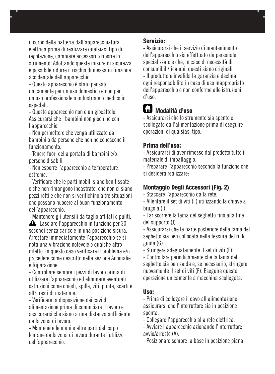il corpo della batteria dall'apparecchiatura elettrica prima di realizzare qualsiasi tipo di regolazione, cambiare accessori o riporre lo strumento. Adottando queste misure di sicurezza è possibile ridurre il rischio di messa in funzione accidentale dell'apparecchio.

- Questo apparecchio è stato pensato unicamente per un uso domestico e non per un uso professionale o industriale o medico in ospedali.

- Questo apparecchio non è un giocattolo. Assicurarsi che i bambini non giochino con l'apparecchio.

- Non permettere che venga utilizzato da bambini o da persone che non ne conoscono il funzionamento.

- Tenere fuori della portata di bambini e/o persone disabili.

- Non esporre l'apparecchio a temperature estreme.

- Verificare che le parti mobili siano ben fissate e che non rimangono incastrate, che non ci siano pezzi rotti e che non si verifichino altre situazioni che possano nuocere al buon funzionamento dell'apparecchio.

- Mantenere gli utensili da taglio affilati e puliti.

 -Lasciare l'apparecchio in funzione per 30 secondi senza carico e in una posizione sicura. Arrestare immediatamente l'apparecchio se si nota una vibrazione notevole o qualche altro difetto. In questo caso verificare il problema e/o procedere come descritto nella sezione Anomalie e Riparazione.

- Controllare sempre i pezzi di lavoro prima di utilizzare l'apparecchio ed eliminare eventuali ostruzioni come chiodi, spille, viti, punte, scarti e altri resti di materiale.

- Verificare la disposizione dei cavi di alimentazione prima di cominciare il lavoro e assicurarsi che siano a una distanza sufficiente dalla zona di lavoro.

- Mantenere le mani e altre parti del corpo lontane dalla zona di lavoro durante l'utilizzo dell'apparecchio.

#### Servizio:

- Assicurarsi che il servizio di mantenimento dell'apparecchio sia effettuato da personale specializzato e che, in caso di necessità di consumibili/ricambi, questi siano originali. - Il produttore invalida la garanzia e declina ogni responsabilità in caso di uso inappropriato dell'apparecchio o non conforme alle istruzioni d'uso.

# Modalità d'uso

- Assicurarsi che lo strumento sia spento e scollegato dall'alimentazione prima di eseguire operazioni di qualsiasi tipo.

### Prima dell'uso:

- Assicurarsi di aver rimosso dal prodotto tutto il materiale di imballaggio.

- Preparare l'apparecchio secondo la funzione che si desidera realizzare:

### Montaggio Degli Accessori (Fig. 2)

- Staccare l'apparecchio dalla rete.

- Allentare il set di viti (F) utilizzando la chiave a brugola (I)

- Far scorrere la lama del seghetto fino alla fine del supporto (J)

- Assicurarsi che la parte posteriore della lama del seghetto sia ben collocata nella fessura del rullo guida (G)

- Stringere adeguatamente il set di viti (F).

- Controllare periodicamente che la lama del seghetto sia ben salda e, se necessario, stringere nuovamente il set di viti (F). Eseguire questa operazione unicamente a macchina scollegata.

### Uso:

- Prima di collegare il cavo all'alimentazione, assicurarsi che l'interruttore sia in posizione spenta.

- Collegare l'apparecchio alla rete elettrica.

- Avviare l'apparecchio azionando l'interruttore avvio/arresto (A).

- Posizionare sempre la base in posizione piana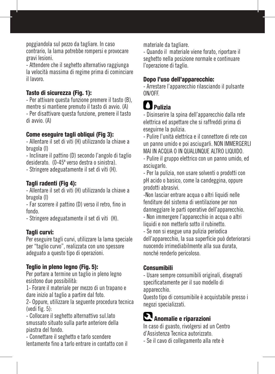poggiandola sul pezzo da tagliare. In caso contrario, la lama potrebbe rompersi e provocare gravi lesioni.

- Attendere che il seghetto alternativo raggiunga la velocità massima di regime prima di cominciare il lavoro.

### Tasto di sicurezza (Fig. 1):

- Per attivare questa funzione premere il tasto (B), mentre si mantiene premuto il tasto di avvio. (A) - Per disattivare questa funzione, premere il tasto di avvio. (A)

#### Come eseguire tagli obliqui (Fig 3):

- Allentare il set di viti (H) utilizzando la chiave a brugola (I)

- Inclinare il pattino (D) secondo l'angolo di taglio desiderato. (0-45º verso destra o sinistra).

- Stringere adeguatamente il set di viti (H).

#### Tagli radenti (Fig 4):

- Allentare il set di viti (H) utilizzando la chiave a brugola (I)

- Far scorrere il pattino (D) verso il retro, fino in fondo.

- Stringere adeguatamente il set di viti (H).

#### Tagli curvi:

Per eseguire tagli curvi, utilizzare la lama speciale per "taglio curvo", realizzata con uno spessore adeguato a questo tipo di operazioni.

#### Teglio in pleno legno (Fig. 5):

Per portare a termine un taglio in pleno legno esistono due possibilità:

1- Forare il materiale per mezzo di un trapano e dare inizio al taglio a partire dal foto.

2- Oppure, utilizzare la seguente procedura tecnica (vedi fig. 5):

- Collocare il seghetto alternattivo sul.lato smussato situato sulla parte anteriore della piastra del fondo.

- Connettare il seghetto e tarlo scendere lentamente fino a tarlo entrare in contatto con il materiale da tagliare.

- Quando il materiale viene forato, riportare il seghetto nella posizione normale e continuare l'operazione di taglio.

### Dopo l'uso dell'apparecchio:

- Arrestare l'apparecchio rilasciando il pulsante ON/OFF.

# **Pulizia**

- Disinserire la spina dell'apparecchio dalla rete elettrica ed aspettare che si raffreddi prima di eseguirne la pulizia.

- Pulire l'unità elettrica e il connettore di rete con un panno umido e poi asciugarli. NON IMMERGERLI MAI IN ACQUA O IN QUALUNQUE ALTRO LIQUIDO.

- Pulire il gruppo elettrico con un panno umido, ed asciugarlo.

- Per la pulizia, non usare solventi o prodotti con pH acido o basico, come la candeggina, oppure prodotti abrasivi.

-Non lasciar entrare acqua o altri liquidi nelle fenditure del sistema di ventilazione per non danneggiare le parti operative dell'apparecchio.

- Non immergere l'apparecchio in acqua o altri liquidi e non metterlo sotto il rubinetto.

- Se non si esegue una pulizia periodica dell'apparecchio, la sua superficie può deteriorarsi nuocendo irrimediabilmente alla sua durata, nonché renderlo pericoloso.

#### Consumibili

- Usare sempre consumibili originali, disegnati specificatamente per il suo modello di apparecchio.

Questo tipo di consumibile è acquistabile presso i negozi specializzati.

# Anomalie e riparazioni

In caso di guasto, rivolgersi ad un Centro d'Assistenza Tecnica autorizzato.

- Se il cavo di collegamento alla rete è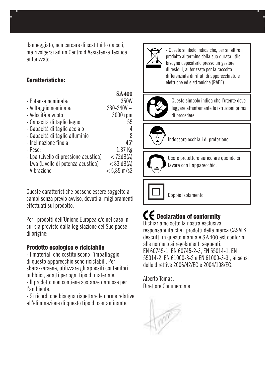danneggiato, non cercare di sostituirlo da soli, ma rivolgersi ad un Centro d'Assistenza Tecnica autorizzato.

### Caratteristiche:

|                                       | <b>SA400</b>   |
|---------------------------------------|----------------|
| - Potenza nominale:                   | 350W           |
| - Voltaggio nominale:                 | $230 - 240V$ ~ |
| - Velocità a vuoto                    | 3000 rpm       |
| - Capacità di taglio legno            | 55             |
| - Capacità di taglio acciaio          | 4              |
| - Capacità di taglio alluminio        | 8              |
| - Inclinazione fino a                 | $45^\circ$     |
| - Peso:                               | 1.37 Kg        |
| - Lpa (Livello di pressione acustica) | $<$ 72dB(A)    |
| - Lwa (Livello di potenza acustica)   | $< 83$ dB(A)   |
| - Vibrazione                          | $< 5.85$ m/s2  |

Queste caratteristiche possono essere soggette a cambi senza previo avviso, dovuti ai miglioramenti effettuati sul prodotto.

Per i prodotti dell'Unione Europea e/o nel caso in cui sia previsto dalla legislazione del Suo paese di origine:

#### Prodotto ecologico e riciclabile

- I materiali che costituiscono l'imballaggio di questo apparecchio sono riciclabili. Per sbarazzarsene, utilizzare gli appositi contenitori pubblici, adatti per ogni tipo di materiale.

- Il prodotto non contiene sostanze dannose per l'ambiente.

- Si ricordi che bisogna rispettare le norme relative all'eliminazione di questo tipo di contaminante.



- Questo simbolo indica che, per smaltire il prodotto al termine della sua durata utile, bisogna depositarlo presso un gestore di residui, autorizzato per la raccolta differenziata di rifiuti di apparecchiature elettriche ed elettroniche (RAEE).

Deutsch



Questo simbolo indica che l'utente deve leggere attentamente le istruzioni prima di procedere.



Indossare occhiali di protezione.



Usare protettore auricolare quando si lavora con l'apparecchio.

Doppio Isolamento

# $\mathbf f$  Declaration of conformity

Dichiariamo sotto la nostra esclusiva responsabilità che i prodotti della marca CASALS descritti in questo manuale SA400 est conformi alle norme o ai regolamenti seguenti: EN 60745-1, EN 60745-2-3, EN 55014-1, EN 55014-2, EN 61000-3-2 e EN 61000-3-3 , ai sensi delle direttive 2006/42/EC e 2004/108/EC.

Alberto Tomas. Direttore Commerciale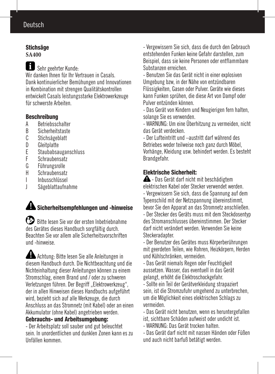### Deutsch

#### **Stichsäge SA400**

Sehr geehrter Kunde: Wir danken Ihnen für Ihr Vertrauen in Casals. Dank kontinuierlicher Bemühungen und Innovationen in Kombination mit strengen Qualitätskontrollen entwickelt Casals leistungsstarke Elektrowerkzeuge für schwerste Arbeiten.

#### Beschreibung

- A Betriebsschalter<br>B Sicherheitstaste
- B Sicherheitstaste<br>C Stichsägeblatt
- C Stichsägeblatt<br>D Gleitolatte
- D Gleitplatte<br>F Staubabsa
- E Staubabsauganschluss<br>E Schraubensatz
- F Schraubensatz<br>G Führungsrolle
- G Führungsrolle<br>H Schraubensati
- Schraubensatz
- I Inbusschlüssel
- J Sägeblattaufnahme

# $\triangle$  Sicherheitsempfehlungen und -hinweise

 Bitte lesen Sie vor der ersten Inbetriebnahme des Gerätes dieses Handbuch sorgfältig durch. Beachten Sie vor allem alle Sicherheitsvorschriften und -hinweise.

 Achtung: Bitte lesen Sie alle Anleitungen in diesem Handbuch durch. Die Nichtbeachtung und die Nichteinhaltung dieser Anleitungen können zu einem Stromschlag, einem Brand und / oder zu schweren Verletzungen führen. Der Begriff "Elektrowerkzeug". der in allen Hinweisen dieses Handbuchs aufgeführt wird, bezieht sich auf alle Werkzeuge, die durch Anschluss an das Stromnetz (mit Kabel) oder an einen Akkumulator (ohne Kabel) angetrieben werden.

#### Gebrauchs- und Arbeitsumgebung:

- Der Arbeitsplatz soll sauber und gut beleuchtet sein. In unordentlichen und dunklen Zonen kann es zu Unfällen kommen.

- Vergewissern Sie sich, dass die durch den Gebrauch entstehenden Funken keine Gefahr darstellen, zum Beispiel, dass sie keine Personen oder entflammbare Substanzen erreichen.

- Benutzen Sie das Gerät nicht in einer explosiven Umgebung bzw, in der Nähe von entzündbaren Flüssigkeiten, Gasen oder Pulver. Geräte wie dieses kann Funken sprühen, die diese Art von Dampf oder Pulver entzünden können.

- Das Gerät von Kindern und Neugierigen fern halten, solange Sie es verwenden.

- WARNUNG: Um eine Überhitzung zu vermeiden, nicht das Gerät verdecken.

- Der Lufteintritt und –austritt darf während des Betriebes weder teilweise noch ganz durch Möbel, Vorhänge, Kleidung usw. behindert werden. Es besteht Brandgefahr.

### Elektrische Sicherheit:

 $\triangle$  - Das Gerät darf nicht mit beschädigtem elektrischen Kabel oder Stecker verwendet werden. - Vergewissern Sie sich, dass die Spannung auf dem Typenschild mit der Netzspannung übereinstimmt, bevor Sie den Apparat an das Stromnetz anschließen.

- Der Stecker des Geräts muss mit dem Steckdosentyp des Stromanschlusses übereinstimmen. Der Stecker darf nicht verändert werden. Verwenden Sie keine Steckeradapter.

- Der Benutzer des Gerätes muss Körperberührungen mit geerdeten Teilen, wie Rohren, Heizkörpern, Herden und Kühlschränken, vermeiden.

- Das Gerät niemals Regen oder Feuchtigkeit aussetzen. Wasser, das eventuell in das Gerät gelangt, erhöht die Elektroschockgefahr.

- Sollte ein Teil der Gerätverkleidung strapaziert sein, ist die Stromzufuhr umgehend zu unterbrechen, um die Möglichkeit eines elektrischen Schlags zu vermeiden.

- Das Gerät nicht benutzen, wenn es heruntergefallen ist, sichtbare Schäden aufweist oder undicht ist.

- WARNUNG: Das Gerät trocken halten.

- Das Gerät darf nicht mit nassen Händen oder Füßen und auch nicht barfuß betätigt werden.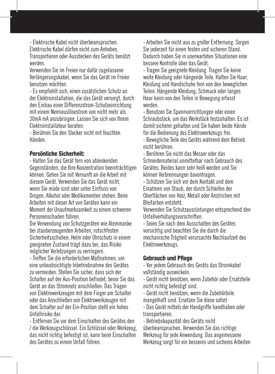- Elektrische Kabel nicht überbeanspruchen. Elektrische Kabel dürfen nicht zum Anheben, Transportieren oder Ausstecken des Geräts benützt werden.

Verwenden Sie im Freien nur dafür zugelassene Verlängerungskabel, wenn Sie das Gerät im Freien benutzen möchten.

- Es empfiehlt sich, einen zusätzlichen Schutz an der Elektroinstallation, die das Gerät versorgt, durch den Einbau einer Differenzstrom-Schutzeinrichtung mit einem Nennauslösestrom von nicht mehr als 30mA mA anzubringen. Lassen Sie sich von Ihrem Elektroinstallateur beraten.

- Berühren Sie den Stecker nicht mit feuchten Händen.

#### Persönliche Sicherheit:

- Halten Sie das Gerät fern von ablenkenden Gegenständen, die Ihre Konzentration beeinträchtigen können. Gehen Sie mit Vernunft an die Arbeit mit diesem Gerät. Verwenden Sie das Gerät nicht, wenn Sie müde sind oder unter Einfluss von Drogen, Alkohol oder Medikamenten stehen. Beim Arbeiten mit dieser Art von Geräten kann ein Moment der Unaufmerksamkeit zu einem schweren Personenschaden führen.

Die Verwendung von Schutzgeräten wie Atemmaske bei stauberzeugenden Arbeiten, rutschfesten Sicherheitsschuhen, Helm oder Ohrschutz in einem geeigneten Zustand trägt dazu bei, das Risiko möglicher Verletzungen zu verringern.

- Treffen Sie die erforderlichen Maßnahmen, um eine unbeabsichtigte Inbetriebnahme des Gerätes zu vermeiden. Stellen Sie sicher, dass sich der Schalter auf der Aus-Position befindet, bevor Sie das Gerät an das Stromnetz anschließen. Das Tragen von Elektrowerkzeugen mit dem Finger am Schalter oder das Anschließen von Elektrowerkzeugen mit dem Schalter auf der Ein-Position stellt ein hohes Unfallrisiko dar.

- Entfernen Sie vor dem Einschalten des Gerätes den / die Werkzeugschlüssel. Ein Schlüssel oder Werkzeug, das nicht richtig befestigt ist, kann beim Einschalten des Gerätes zu einem Unfall führen.

- Arbeiten Sie nicht aus zu großer Entfernung. Sorgen Sie jederzeit für einen festen und sicheren Stand. Dadurch haben Sie in unerwarteten Situationen eine bessere Kontrolle über das Gerät.

- Tragen Sie geeignete Kleidung. Tragen Sie keine weite Kleidung oder hängende Teile. Halten Sie Haar, Kleidung und Handschuhe fern von den beweglichen Teilen. Hängende Kleidung, Schmuck oder langes Haar kann von den Teilen in Bewegung erfasst werden.

- Benutzen Sie Spannvorrichtungen oder einen Schraubstock, um das Werkstück festzuhalten. Es ist damit sicherer gehalten und Sie haben beide Hände für die Bedienung des Elektrowerkzeugs frei.

- Bewegliche Teile des Geräts während dem Betrieb nicht berühren.

- Berühren Sie nicht das Messer oder das Schneidematerial unmittelbar nach Gebrauch des Gerätes. Beides kann sehr heiß werden und Sie können Verbrennungen davontragen.

- Schützen Sie sich vor dem Kontakt und dem Einatmen von Staub, der durch Schleifen der Oberflächen von Holz, Metall oder Anstrichen mit Bleifarben entsteht.

Verwenden Sie Schutzausrüstungen entsprechend den Unfallverhütungsvorschriften.

- Seien Sie nach dem Ausschalten des Gerätes vorsichtig und beachten Sie die durch die mechanische Trägheit verursachte Nachlaufzeit des Elektrowerkzeugs.

#### Gebrauch und Pflege

- Vor jedem Gebrauch des Geräts das Stromkabel vollständig auswickeln.

- Gerät nicht benützen, wenn Zubehör oder Ersatzteile nicht richtig befestigt sind.

- Gerät nicht benützen, wenn die Zubehörteile mangelhaft sind. Ersetzen Sie diese sofort

- Das Gerät mittels der Handgriffe handhaben oder transportieren.

- Betriebskapazität des Geräts nicht überbeanspruchen. Verwenden Sie das richtige Werkzeug für jede Anwendung. Das angemessene

Werkzeug sorgt für ein besseres und sicheres Arbeiten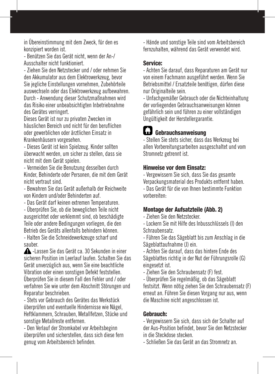in Übereinstimmung mit dem Zweck, für den es konzipiert worden ist.

- Benützen Sie das Gerät nicht, wenn der An-/ Ausschalter nicht funktioniert.

- Ziehen Sie den Netzstecker und / oder nehmen Sie den Akkumulator aus dem Elektrowerkzeug, bevor Sie jegliche Einstellungen vornehmen, Zubehörteile auswechseln oder das Elektrowerkzeug aufbewahren. Durch - Anwendung dieser Schutzmaßnahmen wird das Risiko einer unbeabsichtigten Inbetriebnahme des Gerätes verringert.

Dieses Gerät ist nur zu privaten Zwecken im häuslichen Bereich und nicht für den beruflichen oder gewerblichen oder ärztlichen Einsatz in Krankenhäusern vorgesehen.

- Dieses Gerät ist kein Spielzeug. Kinder sollten überwacht werden, um sicher zu stellen, dass sie nicht mit dem Gerät spielen.

- Vermeiden Sie die Benutzung desselben durch Kinder, Behinderte oder Personen, die mit dem Gerät nicht vertraut sind.

- Bewahren Sie das Gerät außerhalb der Reichweite von Kindern und/oder Behinderten auf.

- Das Gerät darf keinen extremen Temperaturen.

- Überprüfen Sie, ob die beweglichen Teile nicht ausgerichtet oder verklemmt sind, ob beschädigte Teile oder andere Bedingungen vorliegen, die den Betrieb des Geräts allenfalls behindern können. - Halten Sie die Schneidewerkzeuge scharf und sauber.

 -Lassen Sie das Gerät ca. 30 Sekunden in einer sicheren Position im Leerlauf laufen. Schalten Sie das Gerät unverzüglich aus, wenn Sie eine beachtliche Vibration oder einen sonstigen Defekt feststellen. Überprüfen Sie in diesem Fall den Fehler und / oder verfahren Sie wie unter dem Abschnitt Störungen und Reparatur beschrieben.

- Stets vor Gebrauch des Gerätes das Werkstück überprüfen und eventuelle Hindernisse wie Nägel, Heftklammern, Schrauben, Metallfetzen, Stücke und sonstige Metallreste entfernen.

- Den Verlauf der Stromkabel vor Arbeitsbeginn überprüfen und sicherstellen, dass sich diese fern genug vom Arbeitsbereich befinden.

- Hände und sonstige Teile sind vom Arbeitsbereich fernzuhalten, während das Gerät verwendet wird.

#### Service:

- Achten Sie darauf, dass Reparaturen am Gerät nur von einem Fachmann ausgeführt werden. Wenn Sie Betriebsmittel / Ersatzteile benötigen, dürfen diese nur Originalteile sein.

- Unfachgemäßer Gebrauch oder die Nichteinhaltung der vorliegenden Gebrauchsanweisungen können gefährlich sein und führen zu einer vollständigen Ungültigkeit der Herstellergarantie.

# Gebrauchsanweisung

- Stellen Sie stets sicher, dass das Werkzeug bei allen Vorbereitungsarbeiten ausgeschaltet und vom Stromnetz getrennt ist.

#### Hinweise vor dem Einsatz:

- Vergewissern Sie sich, dass Sie das gesamte Verpackungsmaterial des Produkts entfernt haben. - Das Gerät für die von Ihnen bestimmte Funktion vorbereiten:

### Montage der Aufsatzteile (Abb. 2)

- Ziehen Sie den Netzstecker.

- Lockern Sie mit Hilfe des Inbusschlüssels (I) den Schraubensatz.

- Führen Sie das Sägeblatt bis zum Anschlag in die Sägeblattaufnahme (J) ein.

- Achten Sie darauf, dass das hintere Ende des Sägeblattes richtig in der Nut der Führungsrolle (G) eingesetzt ist.

- Ziehen Sie den Schraubensatz (F) fest.

- Überprüfen Sie regelmäßig, ob das Sägeblatt festsitzt. Wenn nötig ziehen Sie den Schraubensatz (F) erneut an. Führen Sie diesen Vorgang nur aus, wenn die Maschine nicht angeschlossen ist.

### Gebrauch:

- Vergewissern Sie sich, dass sich der Schalter auf der Aus-Position befindet, bevor Sie den Netzstecker in die Steckdose stecken.

- Schließen Sie das Gerät an das Stromnetz an.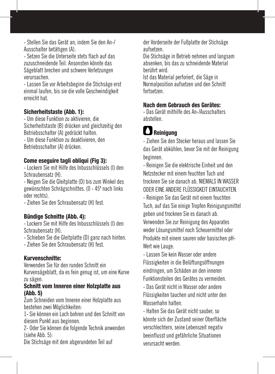- Stellen Sie das Gerät an, indem Sie den An-/ Ausschalter betätigen (A).

- Setzen Sie die Unterseite stets flach auf das zuzuschneidende Teil. Ansonsten könnte das Sägeblatt brechen und schwere Verletzungen verursachen.

- Lassen Sie vor Arbeitsbeginn die Stichsäge erst einmal laufen, bis sie die volle Geschwindigkeit erreicht hat.

#### Sicherheitstaste (Abb. 1):

- Um diese Funktion zu aktivieren, die Sicherheitstaste (B) drücken und gleichzeitig den Betriebsschalter (A) gedrückt halten. - Um diese Funktion zu deaktivieren, den Betriebsschalter (A) drücken.

#### Come eseguire tagli obliqui (Fig 3):

- Lockern Sie mit Hilfe des Inbusschlüssels (I) den Schraubensatz (H).

- Neigen Sie die Gleitplatte (D) bis zum Winkel des gewünschten Schrägschnittes. (0 - 45º nach links oder rechts).

- Ziehen Sie den Schraubensatz (H) fest.

#### Bündige Schnitte (Abb. 4):

- Lockern Sie mit Hilfe des Inbusschlüssels (I) den Schraubensatz (H).

- Schieben Sie die Gleitplatte (D) ganz nach hinten.

- Ziehen Sie den Schraubensatz (H) fest.

#### Kurvenschnitte:

Verwenden Sie für den runden Schnitt ein Kurvensägeblatt, da es fein genug ist, um eine Kurve zu sägen.

#### Schnitt vom Inneren einer Holzplatte aus (Abb. 5)

Zum Schneiden vom Inneren einer Holzplatte aus bestehen zwei Möglichkeiten:

1- Sie können ein Loch bohren und den Schnitt von diesem Punkt aus beginnen.

2- Oder Sie können die folgende Technik anwenden (siehe Abb. 5):

Die Stichsäge mit dem abgerundeten Teil auf

der Vorderseite der Fußplatte der Stichsäge aufsetzen.

Die Stichsäge in Betrieb nehmen und langsam absenken, bis das zu schneidende Material berührt wird.

Ist das Material perforiert, die Säge in Normalposition aufsetzen und den Schnitt fortsetzen.

#### Nach dem Gebrauch des Gerätes:

- Das Gerät mithilfe des An-/Ausschalters abstellen.

# **D** Reinigung

- Ziehen Sie den Stecker heraus und lassen Sie das Gerät abkühlen, bevor Sie mit der Reinigung beginnen.

- Reinigen Sie die elektrische Einheit und den Netzstecker mit einem feuchten Tuch und trocknen Sie sie danach ab. NIEMALS IN WASSER ODER EINE ANDERE FLÜSSIGKEIT EINTAUCHTEN.

- Reinigen Sie das Gerät mit einem feuchten Tuch, auf das Sie einige Tropfen Reinigungsmittel geben und trocknen Sie es danach ab. Verwenden Sie zur Reinigung des Apparates weder Lösungsmittel noch Scheuermittel oder

Produkte mit einem sauren oder basischen pH-Wert wie Lauge.

- Lassen Sie kein Wasser oder andere Flüssigkeiten in die Belüftungsöffnungen eindringen, um Schäden an den inneren Funktionsteilen des Gerätes zu vermeiden.

- Das Gerät nicht in Wasser oder andere Flüssigkeiten tauchen und nicht unter den Wasserhahn halten.

- Halten Sie das Gerät nicht sauber, so könnte sich der Zustand seiner Oberfläche verschlechtern, seine Lebenszeit negativ beeinflusst und gefährliche Situationen verursacht werden.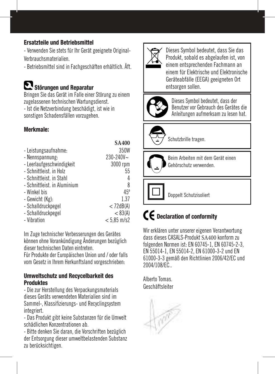### Ersatzteile und Betriebsmittel

- Verwenden Sie stets für Ihr Gerät geeignete Original-Verbrauchsmaterialien.

- Betriebsmittel sind in Fachgeschäften erhältlich. Äft.

# Störungen und Reparatur

Bringen Sie das Gerät im Falle einer Störung zu einem zugelassenen technischen Wartungsdienst. - Ist die Netzverbindung beschädigt, ist wie in sonstigen Schadensfällen vorzugehen.

### Merkmale:

|                              | <b>SA400</b>  |
|------------------------------|---------------|
| - Leistungsaufnahme:         | 350W          |
| - Nennspannung:              | 230-240V~     |
| - Leerlaufgeschwindigkeit    | 3000 rpm      |
| - Schnittleist, in Holz      | 55            |
| - Schnittleist, in Stahl     | 4             |
| - Schnittleist, in Aluminium | 8             |
| - Winkel bis                 | $45^\circ$    |
| - Gewicht (Kg):              | 1.37          |
| - Schalldruckpegel           | $<$ 72dB(A)   |
| - Schalldruckpegel           | < 83(A)       |
| - Vibration                  | $< 5.85$ m/s2 |

Im Zuge technischer Verbesserungen des Gerätes können ohne Vorankündigung Änderungen bezüglich dieser technischen Daten eintreten.

Für Produkte der Europäischen Union und / oder falls vom Gesetz in Ihrem Herkunftsland vorgeschrieben:

#### Umweltschutz und Recycelbarkeit des Produktes

- Die zur Herstellung des Verpackungsmaterials dieses Geräts verwendeten Materialien sind im Sammel-, Klassifizierungs- und Recyclingsystem integriert.

- Das Produkt gibt keine Substanzen für die Umwelt schädlichen Konzentrationen ab.

- Bitte denken Sie daran, die Vorschriften bezüglich der Entsorgung dieser umweltbelastenden Substanz zu berücksichtigen.



Dieses Symbol bedeutet, dass Sie das Produkt, sobald es abgelaufen ist, von einem entsprechenden Fachmann an einem für Elektrische und Elektronische Geräteabfälle (EEGA) geeigneten Ort entsorgen sollen.



Dieses Symbol bedeutet, dass der Benutzer vor Gebrauch des Gerätes die Anleitungen aufmerksam zu lesen hat.



Schutzbrille tragen.



Beim Arbeiten mit dem Gerät einen Gehörschutz verwenden.

Doppelt Schutzisoliert

# CE Declaration of conformity

Wir erklären unter unserer eigenen Verantwortung dass dieses CASALS-Produkt SA400 konform zu folgenden Normen ist: EN 60745-1, EN 60745-2-3, EN 55014-1, EN 55014-2, EN 61000-3-2 und EN 61000-3-3 gemäß den Richtlinien 2006/42/EC und 2004/108/EC..

Alberto Tomas. Geschäftsleiter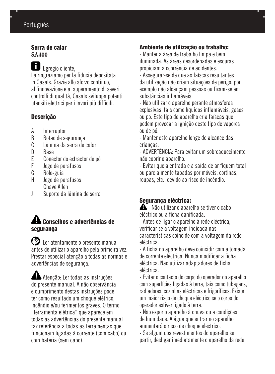## Português

#### Serra de calar **SA400**

 Egregio cliente, La ringraziamo per la fiducia depositata in Casals. Grazie allo sforzo continuo, all'innovazione e al superamento di severi controlli di qualità, Casals sviluppa potenti utensili elettrici per i lavori più difficili.

### Descrição

- A Interruptor<br>B Botão de su
- B Botão de segurança<br>C Lâmina da serra de
- C Lâmina da serra de calar<br>D Rase
- D Base<br>F Coner
- E Conector do extractor de pó<br>Flogo de parafusos
- F Jogo de parafusos<br>G Rolo-guia
- G Rolo-guia<br>H logo de pa
- H Jogo de parafusos
- I Chave Allen<br>I Suporte da l
- Suporte da lâmina de serra

### Conselhos e advertências de segurança

 Ler atentamente o presente manual antes de utilizar o aparelho pela primeira vez. Prestar especial atenção a todas as normas e advertências de segurança.

 Atenção: Ler todas as instruções do presente manual. A não observância e cumprimento destas instruções pode ter como resultado um choque elétrico, incêndio e/ou ferimentos graves. O termo "ferramenta elétrica" que aparece em todas as advertências do presente manual faz referência a todas as ferramentas que funcionam ligadas à corrente (com cabo) ou com bateria (sem cabo).

### Ambiente de utilização ou trabalho:

- Manter a área de trabalho limpa e bem iluminada. As áreas desordenadas e escuras propiciam a ocorrência de acidentes.

- Assegurar-se de que as faíscas resultantes da utilização não criam situações de perigo, por exemplo não alcançam pessoas ou fixam-se em substâncias inflamáveis.

- Não utilizar o aparelho perante atmosferas explosivas, tais como líquidos inflamáveis, gases ou pó. Este tipo de aparelho cria faíscas que podem provocar a ignição deste tipo de vapores ou de pó.

- Manter este aparelho longe do alcance das crianças.

- ADVERTÊNCIA: Para evitar um sobreaquecimento, não cobrir o aparelho.

- Evitar que a entrada e a saída de ar fiquem total ou parcialmente tapadas por móveis, cortinas, roupas, etc., devido ao risco de incêndio.

## Segurança eléctrica:

 $\triangle$  - Não utilizar o aparelho se tiver o cabo eléctrico ou a ficha danificada.

- Antes de ligar o aparelho à rede eléctrica, verificar se a voltagem indicada nas características coincide com a voltagem da rede eléctrica.

- A ficha do aparelho deve coincidir com a tomada de corrente eléctrica. Nunca modificar a ficha eléctrica. Não utilizar adaptadores de ficha eléctrica.

- Evitar o contacto do corpo do operador do aparelho com superfícies ligadas à terra, tais como tubagens, radiadores, cozinhas eléctricas e frigoríficos. Existe um maior risco de choque eléctrico se o corpo do operador estiver ligado à terra.

- Não expor o aparelho à chuva ou a condições de humidade. A água que entrar no aparelho aumentará o risco de choque eléctrico.

- Se algum dos revestimentos do aparelho se partir, desligar imediatamente o aparelho da rede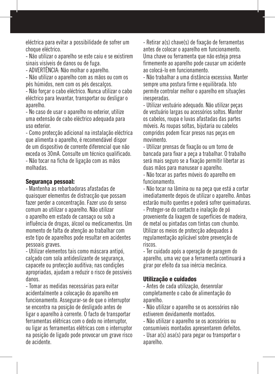eléctrica para evitar a possibilidade de sofrer um choque eléctrico.

- Não utilizar o aparelho se este caiu e se existirem sinais visíveis de danos ou de fuga.

- ADVERTÊNCIA: Não molhar o aparelho.

- Não utilizar o aparelho com as mãos ou com os pés húmidos, nem com os pés descalços.

- Não forçar o cabo eléctrico. Nunca utilizar o cabo eléctrico para levantar, transportar ou desligar o aparelho.

- No caso de usar o aparelho no exterior, utilize uma extensão de cabo eléctrico adequada para uso exterior.

- Como protecção adicional na instalação eléctrica que alimenta o aparelho, é recomendável dispor de um dispositivo de corrente diferencial que não exceda os 30mA. Consulte um técnico qualificado. - Não tocar na ficha de ligação com as mãos

molhadas.

#### Segurança pessoal:

- Mantenha as rebarbadoras afastadas de quaisquer elementos de distracção que possam fazer perder a concentração. Fazer uso do senso comum ao utilizar o aparelho. Não utilizar o aparelho em estado de cansaço ou sob a influência de drogas, álcool ou medicamentos. Um momento de falta de atenção ao trabalhar com este tipo de aparelhos pode resultar em acidentes pessoais graves.

- Utilizar elementos tais como máscara antipó, calçado com sola antideslizante de segurança, capacete ou protecção auditiva; nas condições apropriadas, ajudam a reduzir o risco de possíveis danos.

- Tomar as medidas necessárias para evitar acidentalmente a colocação do aparelho em funcionamento. Assegurar-se de que o interruptor se encontra na posição de desligado antes de ligar o aparelho à corrente. O facto de transportar ferramentas elétricas com o dedo no interruptor, ou ligar as ferramentas elétricas com o interruptor na posição de ligado pode provocar um grave risco de acidente.

- Retirar a(s) chave(s) de fixação de ferramentas antes de colocar o aparelho em funcionamento. Uma chave ou ferramenta que não esteja presa firmemente ao aparelho pode causar um acidente ao colocá-lo em funcionamento.

- Não trabalhar a uma distância excessiva. Manter sempre uma postura firme e equilibrada. Isto permite controlar melhor o aparelho em situações inesperadas.

- Utilizar vestuário adequado. Não utilizar peças de vestuário largas ou acessórios soltos. Manter os cabelos, roupa e luvas afastadas das partes móveis. As roupas soltas, bijutaria ou cabelos compridos podem ficar presos nas peças em movimento.

- Utilizar prensas de fixação ou um torno de bancada para fixar a peça a trabalhar. O trabalho será mais seguro se a fixação permitir libertar as duas mãos para manusear o aparelho.

- Não tocar as partes móveis do aparelho em funcionamento.

- Não tocar na lâmina ou na peça que está a cortar imediatamente depois de utilizar o aparelho. Ambas estarão muito quentes e poderá sofrer queimaduras.

- Proteger-se do contacto e inalação de pó proveniente da lixagem de superfícies de madeira, de metal ou pintadas com tintas com chumbo. Utilizar os meios de protecção adequados à regulamentação aplicável sobre prevenção de riscos.

- Ter cuidado após a operação de paragem do aparelho, uma vez que a ferramenta continuará a girar por efeito da sua inércia mecânica.

#### Utilização e cuidados

- Antes de cada utilização, desenrolar completamente o cabo de alimentação do aparelho.

- Não utilizar o aparelho se os acessórios não estiverem devidamente montados.

- Não utilizar o aparelho se os acessórios ou consumíveis montados apresentarem defeitos.

- Usar a(s) asa(s) para pegar ou transportar o aparelho.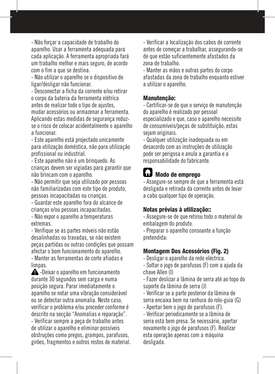- Não forçar a capacidade de trabalho do aparelho. Usar a ferramenta adequada para cada aplicação. A ferramenta apropriada fará um trabalho melhor e mais seguro, de acordo com o fim a que se destina.

- Não utilizar o aparelho se o dispositivo de ligar/desligar não funcionar.

- Desconectar a ficha da corrente e/ou retirar o corpo da bateria da ferramenta elétrica antes de realizar todo o tipo de ajustes, mudar acessórios ou armazenar a ferramenta. Aplicando estas medidas de segurança reduzse o risco de colocar acidentalmente o aparelho a funcionar.

- Este aparelho está projectado unicamente para utilização doméstica, não para utilização profissional ou industrial.

- Este aparelho não é um brinquedo. As crianças devem ser vigiadas para garantir que não brincam com o aparelho.

- Não permitir que seja utilizado por pessoas não familiarizadas com este tipo de produto, pessoas incapacitadas ou crianças.

- Guardar este aparelho fora do alcance de crianças e/ou pessoas incapacitadas.

- Não expor o aparelho a temperaturas extremas.

- Verifique se as partes móveis não estão desalinhadas ou travadas, se não existem peças partidas ou outras condições que possam afectar o bom funcionamento do aparelho. - Manter as ferramentas de corte afiadas e limpas.

 -Deixar o aparelho em funcionamento durante 30 segundos sem carga e numa posição segura. Parar imediatamente o aparelho se notar uma vibração considerável ou se detectar outra anomalia. Neste caso, verificar o problema e/ou proceder conforme é descrito na secção "Anomalias e reparação". - Verificar sempre a peça de trabalho antes de utilizar o aparelho e eliminar possíveis obstruções como pregos, grampos, parafusos, girões, fragmentos e outros restos de material. - Verificar a localização dos cabos de corrente antes de começar a trabalhar, assegurando-se de que estão suficientemente afastados da zona de trabalho.

- Manter as mãos e outras partes do corpo afastadas da zona de trabalho enquanto estiver a utilizar o aparelho.

#### Manutenção:

- Certificar-se de que o serviço de manutenção do aparelho é realizado por pessoal especializado e que, caso o aparelho necessite de consumíveis/peças de substituição, estas sejam originais.

- Qualquer utilização inadequada ou em desacordo com as instruções de utilização pode ser perigosa e anula a garantia e a responsabilidade do fabricante.

# **C.3** Modo de emprego

- Assegure-se sempre de que a ferramenta está desligada e retirada da corrente antes de levar a cabo qualquer tipo de operação.

#### Notas prévias à utilização::

- Assegure-se de que retirou todo o material de embalagem do produto.

- Preparar o aparelho consoante a função pretendida:

#### Montagem Dos Acessórios (Fig. 2)

- Desligar o aparelho da rede eléctrica.

- Soltar o jogo de parafusos (F) com a ajuda da chave Allen (I)

- Fazer deslizar a lâmina de serra até ao topo do suporte da lâmina de serra (J)

- Verificar se a parte posterior da lâmina de serra encaixa bem na ranhura do rolo-guia (G) - Apertar bem o jogo de parafusos (F).

- Verificar periodicamente se a lâmina de serra está bem presa. Se necessário, apertar novamente o jogo de parafusos (F). Realizar esta operação apenas com a máquina desligada.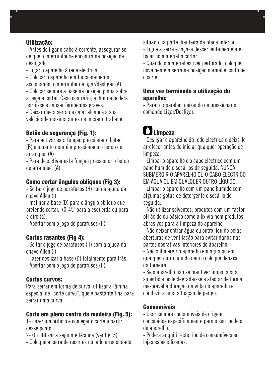#### Utilização:

- Antes de ligar o cabo à corrente, assegurar-se de que o interruptor se encontra na posição de desligado.

- Ligar o aparelho à rede eléctrica.

- Colocar o aparelho em funcionamento accionando o interruptor de ligar/desligar (A).

- Colocar sempre a base na posição plana sobre a peça a cortar. Caso contrário, a lâmina poderá partir-se e causar ferimentos graves.

- Deixar que a serra de calar alcance a sua velocidade máxima antes de iniciar o trabalho.

### Botão de segurança (Fig. 1):

- Para activar esta função pressionar o botão (B) enquanto mantém pressionado o botão de arranque. (A)

- Para desactivar esta função pressionar o botão de arranque. (A)

#### Como cortar ângulos oblíquos (Fig 3):

- Soltar o jogo de parafusos (H) com a ajuda da chave Allen (I)

- Inclinar a base (D) para o ângulo oblíquo que pretende cortar. (0-45º para a esquerda ou para a direita).

- Apertar bem o jogo de parafusos (H).

#### Cortes rasantes (Fig 4):

- Soltar o jogo de parafusos (H) com a ajuda da chave Allen (I)

- Fazer deslizar a base (D) totalmente para trás.
- Apertar bem o jogo de parafusos (H).

#### Cortes curvos:

Para serrar em forma de curva, utilizar a lâmina especial de "corte curvo", que é bastante fina para serrar uma curva.

#### Corte em pleno centro da madeira (Fig. 5):

1- Fazer um orifício e começar o corte a partir desse ponto.

- 2- Ou utilizar a seguinte técnica (ver fig. 5):
- Coloque a serra de recortes no lado arredondado,

situado na parte dianteira da placa inferior.

- Ligue a serra e faça-a descer lentamente até tocar no material a cortar.

- Quando o material estiver perfurado, coloque novamente a serra na posição normal e continue o corte.

#### Uma vez terminada a utilização do aparelho:

- Parar o aparelho, deixando de pressionar o comando Ligar/Desligar.

# Limpeza

- Desligar o aparelho da rede eléctrica e deixá-lo arrefecer antes de iniciar qualquer operação de limpeza.

- Limpar o aparelho e o cabo eléctrico com um pano húmido e secá-los de seguida. NUNCA SUBMERGIR O APARELHO OU O CABO ELÉCTRICO EM ÁGUA OU EM QUALQUER OUTRO LÍQUIDO.

- Limpar o aparelho com um pano húmido com algumas gotas de detergente e secá-lo de seguida.

- Não utilizar solventes, produtos com um factor pH ácido ou básico como a lixívia nem produtos abrasivos para a limpeza do aparelho.

- Não deixar entrar água ou outro líquido pelas aberturas de ventilação para evitar danos nas partes operativas interiores do aparelho.

- Não submergir o aparelho em água ou em qualquer outro líquido nem o coloque debaixo da torneira.

- Se o aparelho não se mantiver limpo, a sua superfície pode degradar-se e afectar de forma inexorável a duração da vida do aparelho e conduzir a uma situação de perigo.

#### **Consumíveis**

- Usar sempre consumíveis de origem, concebidos especificamente para o seu modelo de aparelho.

- Poderá adquirir este tipo de consumíveis em lojas especializadas.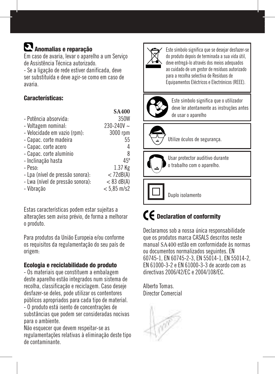# Anomalias e reparação

Em caso de avaria, levar o aparelho a um Serviço de Assistência Técnica autorizado.

- Se a ligação de rede estiver danificada, deve ser substituída e deve agir-se como em caso de avaria.

### Características:

|                                  | 3A4W           |
|----------------------------------|----------------|
| - Potência absorvida:            | 350W           |
| - Voltagem nominal:              | $230 - 240V$ ~ |
| - Velocidade em vazio (rpm):     | 3000 rpm       |
| - Capac. corte madeira           | 55             |
| - Capac. corte acero             | 4              |
| - Capac. corte alumínio          | 8              |
| - Inclinação hasta               | $45^\circ$     |
| - Peso:                          | 1.37 Kg        |
| - Lpa (nível de pressão sonora): | $<$ 72dB(A)    |
| - Lwa (nível de pressão sonora): | $< 83$ dB(A)   |
| - Vibração                       | $< 5.85$ m/s2  |
|                                  |                |

Estas características podem estar sujeitas a alterações sem aviso prévio, de forma a melhorar o produto.

Para produtos da União Europeia e/ou conforme os requisitos da regulamentação do seu país de origem:

#### Ecologia e reciclabilidade do produto

- Os materiais que constituem a embalagem deste aparelho estão integrados num sistema de recolha, classificação e reciclagem. Caso deseje desfazer-se deles, pode utilizar os contentores públicos apropriados para cada tipo de material. - O produto está isento de concentrações de substâncias que podem ser consideradas nocivas

Não esquecer que devem respeitar-se as regulamentações relativas à eliminação deste tipo de contaminante.

para o ambiente.



Este símbolo significa que se desejar desfazer-se do produto depois de terminada a sua vida útil, deve entregá-lo através dos meios adequados ao cuidado de um gestor de resíduos autorizado para a recolha selectiva de Resíduos de Equipamentos Eléctricos e Electrónicos (REEE).

Ελληνικά



**SA400**

Este símbolo significa que o utilizador deve ler atentamente as instruções antes de usar o aparelho



Utilize óculos de segurança.



Usar protector auditivo durante o trabalho com o aparelho.

Duplo isolamento

# **CE** Declaration of conformity

Declaramos sob a nossa única responsabilidade que os produtos marca CASALS descritos neste manual SA400 estão em conformidade às normas ou documentos normalizados seguintes. EN 60745-1, EN 60745-2-3, EN 55014-1, EN 55014-2, EN 61000-3-2 e EN 61000-3-3 de acordo com as directivas 2006/42/EC e 2004/108/EC.

Alberto Tomas. Director Comercial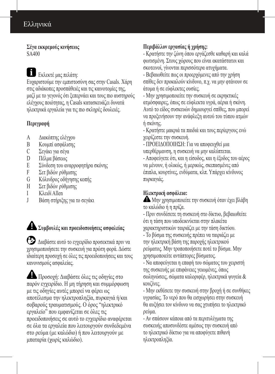# Ελληνικά

**Σέγα εκκρεμούς κινήσεως** SA400

Εκλεκτέ μας πελάτη:

Ευχαριστούμε την εμπιστοσύνη σας στην Casals. Χάρη στις αδιάκοπες προσπάθειές και τις καινοτομίες της, μαζί με το γεγονός ότι ξεπερνάει και τους πιο αυστηρούς ελέγχους ποιότητας, η Casals κατασκευάζει δυνατά ηλεκτρικά εργαλεία για τις πιο σκληρές δουλειές.

#### **Περιγραφή**

- A Διακόπτης ελέγχου
- B Κουμπί ασφάλισης<br>C Σενάκι νια σένα
- C Σεγάκι για σέγα
- D Πέλμα βάσεως<br>Ε Σύνδεση του αν
- E Σύνδεση του αναρροφητήρα σκόνης<br>E Σετ βιδών ούθμισης
- Σετ βιδών ρύθμισης
- G Κύλινδρος οδήγησης κοπής
- H Σετ βιδών ρύθμισης
- I Κλειδί Allen
- J Βάση στήριξης για το σεγάκι

**Συμβουλές και προειδοποιήσεις ασφαλείας**

 Διαβάστε αυτό το εγχειρίδιο προσεκτικά πριν να χρησιμοποιήσετε την συσκευή για πρώτη φορά. Δώστε ιδιαίτερη προσοχή σε όλες τις προειδοποιήσεις και τους κανονισμούς ασφαλείας.

 Προσοχή: Διαβάστε όλες τις οδηγίες στο παρόν εγχειρίδιο. Η μη τήρηση και συμμόρφωση με τις οδηγίες αυτές μπορεί να φέρει ως αποτέλεσμα την ηλεκτροπληξία, πυρκαγιά ή/και σοβαρούς τραυματισμούς. Ο όρος "ηλεκτρικό εργαλείο" που εμφανίζεται σε όλες τις προειδοποιήσεις σε αυτό το εγχειρίδιο αναφέρεται σε όλα τα εργαλεία που λειτουργούν συνδεδεμένα στο ρεύμα (με καλώδιο) ή που λειτουργούν με μπαταρία (χωρίς καλώδιο).

### **Περιβάλλον εργασίας ή χρήσης:**

- Κρατήστε την ζώνη όπου εργάζεσθε καθαρή και καλά φωτισμένη. Στους χώρους που είναι ακατάστατοι και σκοτεινοί, γίνονται περισσότερα ατυχήματα.

- Βεβαιωθείτε πως οι προερχόμενες από την χρήση σπίθες δεν προκαλούν κίνδυνο, π.χ. να μην φτάνουν σε άτομα ή σε εύφλεκτες ουσίες.

- Μην χρησιμοποιείτε την συσκευή σε εκρηκτικές ατμόσφαιρες, όπως σε εύφλεκτα υγρά, αέρια ή σκόνη. Αυτό το είδος συσκευών δημιουργεί σπίθες, που μπορεί να προξενήσουν την ανάφλεξη αυτού του τύπου ατμών ή σκόνης.

- Κρατήστε μακριά τα παιδιά και τους περίεργους ενώ χειρίζεστε την συσκευή.

- ΠΡΟΕΙΔΟΠΟΙΗΣΗ: Για να αποφευχθεί μια υπερθέρμανση, η συσκευή να μην καλύπτεται.

- Αποφεύγετε ότι, και η είσοδος, και η έξοδος του αέρος να μένουν, ή ολικώς, ή μερικώς, σκεπασμένες από έπιπλα, κουρτίνες, ενδύματα, κλπ. Υπάρχει κίνδυνος πυρκαγιάς.

### **Ηλεκτρική ασφάλεια:**

 Μην χρησιμοποιείτε την συσκευή όταν έχει βλάβη το καλώδιο ή η πρίζα.

- Πριν συνδέσετε τη συσκευή στο δίκτυο, βεβαιωθείτε ότι η τάση που υποδεικνύεται στην πλακέτα χαρακτηριστικών ταιριάζει με την τάση δικτύου.

- Το βύσμα της συσκευής πρέπει να ταιριάζει με την ηλεκτρική βάση της παροχής ηλεκτρικού ρεύματος. Μην τροποποιήσετε ποτέ το βύσμα. Μην χρησιμοποιείτε αντάπτορες βύσματος.

- Να αποφεύγεται η επαφή του σώματος του χειριστή της συσκευής με επιφάνειες γειωμένες, όπως σωληνώσεις, σώματα καλοριφέρ, ηλεκτρικά ψυγεία & κουζίνες.

- Μην εκθέσετε την συσκευή στην βροχή ή σε συνθήκες υγρασίας. Το νερό που θα εισχωρήσει στην συσκευή θα αυξήσει τον κίνδυνο να σας χτυπήσει το ηλεκτρικό ρεύμα.

- Αν σπάσουν κάποια από τα περιτυλίγματα της συσκευής αποσυνδέστε αμέσως την συσκευή από το ηλεκτρικό δίκτυο για να αποφύγετε πιθανή ηλεκτροπληξία.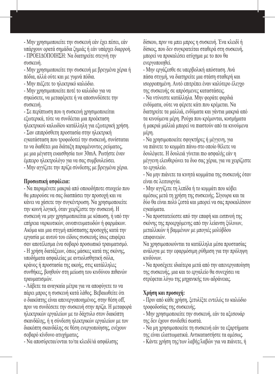- Μην χρησιμοποιείτε την συσκευή εάν έχει πέσει, εάν υπάρχουν ορατά σημάδια ζημιάς ή εάν υπάρχει διαρροή. - ΠΡΟΕΙΔΟΠΟΙΗΣΗ: Να διατηρείτε στεγνή την συσκευή.

- Μην χρησιμοποιείτε την συσκευή με βρεγμένα χέρια ή πόδια, αλλά ούτε και με γυμνά πόδια.

- Μην πιέζετε το ηλεκτρικό καλώδιο.

- Μην χρησιμοποιείτε ποτέ το καλώδιο για να σηκώσετε, να μεταφέρετε ή να αποσυνδέσετε την συσκευή.

- Σε περίπτωση που η συσκευή χρησιμοποιείται εξωτερικά, τότε να συνδέεται μια προέκταση ηλεκτρικού καλωδίου κατάλληλη για εξωτερική χρήση. - Σαν επιπρόσθετη προστασία στην ηλεκτρική εγκατάσταση που τροφοδοτεί την συσκευή, συνίσταται

το να διαθέτει μια διάταξη παραμένοντος ρεύματος, με μια μέγιστη ευαισθησία των 30mA. Ρωτήστε έναν έμπειρο ηλεκτρολόγο για να σας συμβουλεύσει. - Μην αγγίζετε την πρίζα σύνδεσης με βρεγμένα χέρια.

#### **Προσωπική ασφάλεια:**

- Να παραμένετε μακριά από οποιοδήποτε στοιχείο που θα μπορούσε να σας διασπάσει την προσοχή και να κάνει να χάσετε την συγκέντρωση. Να χρησιμοποιείτε την κοινή λογική, όταν χειρίζεστε την συσκευή. Η συσκευή να μην χρησιμοποιείται με κόπωση, ή υπό την επήρεια ναρκωτικών, οινοπνευματωδών ή φαρμάκων. Ακόμα και μια στιγμή απόσπασης προσοχής κατά την εργασία με αυτού του είδους συσκευής ίσως επιφέρει σαν αποτέλεσμα ένα σοβαρό προσωπικό τραυματισμό. - Η χρήση διατάξεων, όπως μάσκες κατά της σκόνης, υποδήματα ασφαλείας με αντιολισθητική σόλα, κράνος ή προστασία της ακοής, στις κατάλληλες συνθήκες, βοηθούν στη μείωση του κινδύνου πιθανών τραυματισμών.

- Λάβετε τα αναγκαία μέτρα για να αποφύγετε το να πάρει μπρος η συσκευή κατά λάθος. Βεβαιωθείτε ότι ο διακόπτης είναι απενεργοποιημένος, στην θέση off, πριν να συνδέσετε την συσκευή στην πρίζα. H μεταφορά ηλεκτρικών εργαλείων με το δάχτυλο στον διακόπτη σκανδάλης, ή η σύνδεση ηλεκτρικών εργαλείων με τον διακόπτη σκανδάλης σε θέση ενεργοποίησης, ενέχουν σοβαρό κίνδυνο ατυχήματος.

- Να αποσύρεται/ονται το/τα κλειδί/ιά ασφάλισης

δίσκου, πριν να μπει μπρος η συσκευή. Ένα κλειδί ή δίσκος, που δεν συγκρατείται σταθερά στη συσκευή, μπορεί να προκαλέσει ατύχημα με το που θα ενεργοποιηθεί.

- Μην εργάζεσθε σε υπερβολική απόσταση. Ανά πάσα στιγμή, να διατηρείτε μια στάση σταθερή και ισορροπημένη. Αυτό επιτρέπει έναν καλύτερο έλεγχο της συσκευής σε απρόσμενες καταστάσεις.

- Να ντύνεστε κατάλληλα. Μην φοράτε φαρδιά ενδύματα, ούτε να φέρετε κάτι που κρέμεται. Να διατηρείτε τα μαλλιά, ενδύματα και γάντια μακριά από τα κινούμενα μέρη. Ρούχα που κρέμονται, κοσμήματα ή μακριά μαλλιά μπορεί να πιαστούν από τα κινούμενα μέρη.

- Να χρησιμοποιείτε σφιγκτήρες ή μέγγενη, για να πιάνετε το κομμάτι πάνω στο οποίο θέλετε να δουλέψετε. Η δουλειά γίνεται πιο ασφαλής εάν η μέγγενη ελευθερώνει τα δυο σας χέρια, για να χειρίζεστε το εργαλείο.

- Να μην πιάνετε τα κινητά κομμάτια της συσκευής όταν είναι σε λειτουργία.

- Μην αγγίζετε τη λεπίδα ή το κομμάτι που κόβει αμέσως μετά τη χρήση της συσκευής. Σίγουρα και τα δύο θα είναι πολύ ζεστά και μπορεί να σας προκαλέσουν εγκαύματα.

- Να προστατεύεστε από την επαφή και εισπνοή της σκόνης της προερχόμενης από την λείανση ξύλινων, μεταλλικών ή βαμμένων με μπογιές μολύβδου επιφανειών.

Να χρησιμοποιούνται τα κατάλληλα μέσα προστασίας ανάλογα με την εφαρμόσιμη ρύθμιση για την πρόληψη κινδύνων.

- Να προσέχετε ιδιαίτερα μετά από την απενεργοποίηση της συσκευής, μια και το εργαλείο θα συνεχίσει να στρέφεται λόγω της μηχανικής του αδράνειας.

#### **Χρήση και προσοχή:**

- Πριν από κάθε χρήση, ξετυλίξτε εντελώς το καλώδιο τροφοδοσίας της συσκευής.

- Μην χρησιμοποιείτε την συσκευή, εάν τα αξεσουάρ της δεν έχουν συνδεθεί σωστά.

- Να μη χρησιμοποιείτε τη συσκευή εάν τα εξαρτήματα της είναι ελαττωματικά. Αντικαταστήστε τα αμέσως.

- Κάντε χρήση της/των λαβής/λαβών για να πιάνετε, ή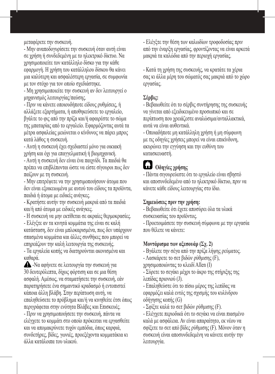μεταφέρετε την συσκευή.

- Μην αναποδογυρίσετε την συσκευή όταν αυτή είναι σε χρήση ή συνδεδεμένη με το ηλεκτρικό δίκτυο. Να χρησιμοποιείτε τον κατάλληλο δίσκο για την κάθε εφαρμογή. Η χρήση του κατάλληλου δίσκου θα κάνει μια καλύτερη και ασφαλέστερη εργασία, σε συμφωνία με τον στόχο για τον οποίο σχεδιάστηκε.

- Μη χρησιμοποιείτε την συσκευή αν δεν λειτουργεί ο μηχανισμός λειτουργίας/παύσης.

- Πριν να κάνετε οποιουδήποτε είδους ρυθμίσεις, ή αλλάξετε εξαρτήματα, ή αποθηκεύσετε το εργαλείο, βγάλτε το φις από την πρίζα και/ή αφαιρέστε το σώμα της μπαταρίας από το εργαλείο. Εφαρμόζοντας αυτά τα μέτρα ασφαλείας μειώνεται ο κίνδυνος να πάρει μπρος κατά λάθος η συσκευή.

- Αυτή η συσκευή έχει σχεδιαστεί μόνο για οικιακή χρήση και όχι για επαγγελματική ή βιομηχανική.

- Αυτή η συσκευή δεν είναι ένα παιχνίδι. Τα παιδιά θα πρέπει να επιβλέπονται ώστε να είστε σίγουροι πως δεν παίζουν με τη συσκευή.

- Μην επιτρέψετε να την χρησιμοποιήσουν άτομα που δεν είναι εξοικειωμένα με αυτού του είδους τα προϊόντα, παιδιά ή άτομα με ειδικές ανάγκες.

- Κρατήστε αυτήν την συσκευή μακριά από τα παιδιά και/ή από άτομα με ειδικές ανάγκες.

- Η συσκευή να μην εκτίθεται σε ακραίες θερμοκρασίες.

- Ελέγξτε αν τα κινητά κομμάτια της είναι σε καλή κατάσταση, δεν είναι μπλοκαρισμένα, πως δεν υπάρχουν σπασμένα κομμάτια και άλλες συνθήκες που μπορεί να επηρεάζουν την καλή λειτουργία της συσκευής.

- Τα εργαλεία κοπής να διατηρούνται ακονισμένα και καθαρά.

 -Να αφήνετε σε λειτουργία την συσκευή για 30 δευτερόλεπτα, δίχως φόρτιση και σε μια θέση ασφαλή. Αμέσως, να σταματήσετε την συσκευή, εάν παρατηρήσετε ένα σημαντικό κραδασμό ή εντοπιστεί κάποια άλλη βλάβη. Στην περίπτωση αυτή, να επαληθεύσετε το πρόβλημα και/ή να κινηθείτε έτσι όπως περιγράφεται στην ενότητα Βλάβες και Επισκευές. - Πριν να χρησιμοποιήσετε την συσκευή, πάντα να ελέγχετε το κομμάτι στο οποίο πρόκειται να εργασθείτε και να απομακρύνετε τυχόν εμπόδια, όπως καρφιά, συνδετήρες, βίδες, γωνιές, προεξέχοντα κομματάκια κι άλλα κατάλοιπα του υλικού.

- Ελέγξτε την θέση των καλωδίων τροφοδοσίας πριν από την έναρξη εργασίας, φροντίζοντας να είναι αρκετά μακριά τα καλώδια από την περιοχή εργασίας.

- Κατά τη χρήση της συσκευής, να κρατάτε τα χέρια σας κι άλλα μέρη του σώματός σας μακριά από το χώρο εργασίας.

#### **Σέρβις:**

- Βεβαιωθείτε ότι το σέρβις συντήρησης της συσκευής να γίνεται από εξειδικευμένο προσωπικό και σε περίπτωση που χρειάζεστε αναλώσιμα/ανταλλακτικά, αυτά να είναι αυθεντικά.

- Οποιαδήποτε μη κατάλληλη χρήση ή μη σύμφωνη με τις οδηγίες χρήσεις μπορεί να είναι επικίνδυνη, ακυρώνει την εγγύηση και την ευθύνη του κατασκευαστή.

# **Οδηγίες χρήσης**

- Πάντα σιγουρεύεστε ότι το εργαλείο είναι σβηστό και αποσυνδεδεμένο από το ηλεκτρικό δίκτυο, πριν να κάνετε κάθε είδους λειτουργίας στο ίδιο.

#### **Σημειώσεις πριν την χρήση:**

- Βεβαιωθείτε ότι έχετε αποσύρει όλα τα υλικά συσκευασίας του προϊόντος.

- Προετοιμάσετε την συσκευή σύμφωνα με την εργασία που θέλετε να κάνετε:

### **Μοντάρισμα των αξεσουάρ (Σχ. 2)**

- Βγάλετε την σέγα από την πρίζα λήψης ρεύματος.

- Λασκάρετε το σετ βιδών ρύθμισης (F),

χρησιμοποιώντας το κλειδί Allen (I)

- Σύρετε το σεγάκι μέχρι το άκρο της στήριξης της λεπίδας πριονιού (J).

- Επαληθεύστε ότι το πίσω μέρος της λεπίδας να εφαρμόζει καλά εντός της σχισμής του κυλίνδρου οδήγησης κοπής (G)

- Σφίξτε καλά το σετ βιδών ρύθμισης (F).

- Ελέγχετε περιοδικά ότι το σεγάκι να είναι πιασμένο καλά με ασφάλεια. Αν είναι απαραίτητο, εκ νέου να σφίξετε το σετ από βίδες ρύθμισης (F). Μόνον όταν η συσκευή είναι αποσυνδεδεμένη να κάνετε αυτήν την λειτουργία.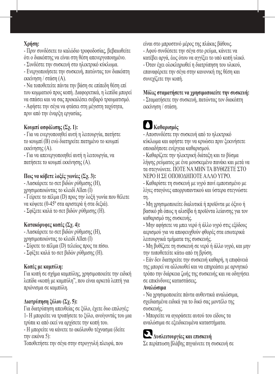#### **Χρήση:**

- Πριν συνδέσετε το καλώδιο τροφοδοσίας, βεβαιωθείτε ότι ο διακόπτης να είναι στη θέση απενεργοποιημένο.

- Συνδέστε την συσκευή στο ηλεκτρικό κύκλωμα.

- Ενεργοποιήσετε την συσκευή, πατώντας τον διακόπτη εκκίνηση / στάση (A).

- Να τοποθετείτε πάντα την βάση σε επίπεδη θέση επί του κομματιού προς κοπή. Διαφορετικά, η λεπίδα μπορεί να σπάσει και να σας προκαλέσει σοβαρό τραυματισμό. - Αφήστε την σέγα να φτάσει στη μέγιστη ταχύτητα,

πριν από την έναρξη εργασίας.

#### **Κουμπί ασφάλισης (Σχ. 1):**

- Για να ενεργοποιηθεί αυτή η λειτουργία, πατήστε το κουμπί (B) ενώ διατηρείτε πατημένο το κουμπί εκκίνησης (A).

- Για να απενεργοποιηθεί αυτή η λειτουργία, να πατήσετε το κουμπί εκκίνησης (A).

#### **Πως να κόβετε λοξές γωνίες (Σχ. 3):**

- Λασκάρετε το σετ βιδών ρύθμισης (H), χρησιμοποιώντας το κλειδί Allen (I) - Γείρετε το πέλμα (D) προς την λοξή γωνία που θέλετε να κόψετε (0-45º στα αριστερά ή στα δεξιά). - Σφίξετε καλά το σετ βιδών ρύθμισης (Η).

#### **Κατακόρυφες κοπές (Σχ. 4):**

- Λασκάρετε το σετ βιδών ρύθμισης (H), χρησιμοποιώντας το κλειδί Allen (I) - Σύρετε το πέλμα (D) τελείως προς τα πίσω. - Σφίξτε καλά το σετ βιδών ρύθμισης (Η).

#### **Κοπές με καμπύλη:**

Για κοπή σε σχήμα καμπύλης, χρησιμοποιείτε την ειδική λεπίδα «κοπή με καμπύλη", που είναι αρκετά λεπτή για πριόνισμα σε καμπύλη.

#### **Διατρύπηση ξύλου (Σχ. 5):**

Για διατρύπηση απευθείας σε ξύλο, έχετε δυο επιλογές: 1- Η μπορείτε να τρυπήσετε το ξύλο, ανοίγοντάς του μια τρύπα κι από εκεί να αρχίσετε την κοπή του.

- Η μπορείτε να κάνετε το ακόλουθο τέχνασμα (δείτε την εικόνα 5):

Τοποθετήστε την σέγα στην στρογγυλή πλευρά, που

είναι στο μπροστινό μέρος της πλάκας βάθους.

- Αφού συνδέσετε την σέγα στο ρεύμα, κάνετε να κατέβει αργά, έως ότου να αγγίξει το υπό κοπή υλικό.

- Όταν έχει ολοκληρωθεί η διατρύπηση του υλικού, επαναφέρετε την σέγα στην κανονική της θέση και συνεχίζετε την κοπή.

#### **Μόλις σταματήσετε να χρησιμοποιείτε την συσκευή:**

- Σταματήσετε την συσκευή, πατώντας τον διακόπτη εκκίνηση / στάση.

# **Καθαρισμός**

- Αποσυνδέστε την συσκευή από το ηλεκτρικό κύκλωμα και αφήστε την να κρυώσει πριν ξεκινήσετε οποιαδήποτε ενέργεια καθαρισμού.

- Καθαρίζετε την ηλεκτρική διάταξη και το βύσμα λήψης ρεύματος με ένα μουσκεμένο πανάκι και μετά να τα στεγνώνετε. ΠΟΤΕ ΝΑ ΜΗΝ ΤΑ ΒΥΘΙΖΕΤΕ ΣΤΟ ΝΕΡΟ Η ΣΕ ΟΠΟΙΟΔΗΠΟΤΕ ΑΛΛΟ ΥΓΡΟ.

- Καθαρίστε τη συσκευή με υγρό πανί εμποτισμένο με λίγες σταγόνες απορρυπαντικού και ύστερα στεγνώστε τη.

- Μη χρησιμοποιείτε διαλυτικά ή προϊόντα με όξινο ή βασικό ph όπως η αλισίβα ή προϊόντα λείανσης για τον καθαρισμό της συσκευής.

- Μην αφήσετε να μπει νερό ή άλλο υγρό στις εξόδους αερισμού για να αποφευχθούν φθορές στα εσωτερικά λειτουργικά τμήματα της συσκευής.

- Μη βυθίζετε τη συσκευή σε νερό ή άλλο υγρό, και μην την τοποθετείτε κάτω από τη βρύση.

- Εάν δεν διατηρείτε την συσκευή καθαρή, η επιφάνειά της μπορεί να αλλοιωθεί και να επηρεάσει με αρνητικό τρόπο την διάρκεια ζωής της συσκευής και να οδηγήσει σε επικίνδυνες καταστάσεις.

#### **Αναλώσιμα**

- Να χρησιμοποιείτε πάντα αυθεντικά αναλώσιμα, σχεδιασμένα ειδικά για το δικό σας μοντέλο της συσκευής.

- Μπορείτε να αγοράσετε αυτού του είδους τα αναλώσιμα σε εξειδικευμένα καταστήματα.

# **Δυσλειτουργίες και επισκευή**

Σε περίπτωση βλάβης πηγαίνετε τη συσκευή σε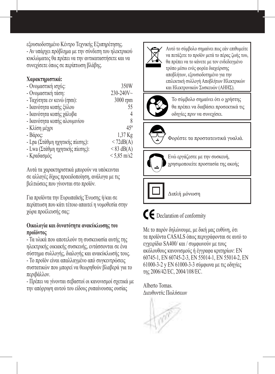εξουσιοδοτημένο Κέντρο Τεχνικής Εξυπηρέτησης.

- Αν υπάρχει πρόβλημα με την σύνδεση του ηλεκτρικού κυκλώματος θα πρέπει να την αντικαταστήσετε και να συνεχίσετε όπως σε περίπτωση βλάβης.

#### **Χαρακτηριστικά:**

| - Ονομαστική ισχύς:             | 350W           |
|---------------------------------|----------------|
| - Ονομαστική τάση:              | $230 - 240V$ ~ |
| - Ταχύτητα εν κενώ (rpm):       | 3000 rpm       |
| - Ικανότητα κοπής ξύλου         | 55             |
| - Ικανότητα κοπής γάλυβα        | 4              |
| - Ικανότητα κοπής αλουμινίου    | 8              |
| - Κλίση μέχρι                   | $45^{\circ}$   |
| $-Bάρος$ :                      | 1,37 Kg        |
| - Lpa (Στάθμη ηχητικής πίεσης): | < 72dB(A)      |
| - Lwa (Στάθμη ηχητικής πίεσης): | $< 83$ dB(A)   |
| - Κραδασμός                     | $< 5.85$ m/s2  |

Αυτά τα χαρακτηριστικά μπορούν να υπόκεινται σε αλλαγές δίχως προειδοποίηση, ανάλογα με τις βελτιώσεις που γίνονται στο προϊόν.

Για προϊόντα την Ευρωπαϊκής Ένωσης ή/και σε περίπτωση που κάτι τέτοιο απαιτεί η νομοθεσία στην χώρα προέλευσής σας:

#### **Οικολογία και δυνατότητα ανακύκλωσης του προϊόντος**

- Τα υλικά που αποτελούν τη συσκευασία αυτής της ηλεκτρικής οικιακής συσκευής, εντάσσονται σε ένα σύστημα συλλογής, διαλογής και ανακύκλωσής τους.

- Το προϊόν είναι απαλλαγμένο από συγκεντρώσεις συστατικών που μπορεί να θεωρηθούν βλαβερά για το περιβάλλον.

- Πρέπει να γίνονται σεβαστοί οι κανονισμοί σχετικά με την απόρριψη αυτού του είδους ρυπαίνουσας ουσίας



Αυτό το σύμβολο σημαίνει πως εάν επιθυμείτε να πετάξετε το προϊόν μετά το πέρας ζωής του, θα πρέπει να το κάνετε με τον ενδεδειγμένο τρόπο μέσω ενός φορέα διαχείρισης αποβλήτων, εξουσιοδοτημένο για την επιλεκτική συλλογή Αποβλήτων Ηλεκτρικών και Ηλεκτρονικών Συσκευών (ΑΗΗΣ).



Το σύμβολο σημαίνει ότι ο χρήστης θα πρέπει να διαβάσει προσεκτικά τις οδηγίες πριν να συνεχίσει.



Φορέστε τα προστατευτικά γυαλιά.



Ενώ εργάζεστε με την συσκευή, χρησιμοποιείτε προστασία της ακοής

# Διπλή μόνωση

 $\mathsf{\subset}\mathsf{\in}$  Declaration of conformity

Με το παρόν δηλώνουμε, με δική μας ευθύνη, ότι τα προϊόντα CASALS όπως περιγράφονται σε αυτό το εγχειρίδιο SA400/ και / συμφωνούν με τους ακόλουθους κανονισμούς ή έγγραφα κριτηρίων: EN 60745-1, EN 60745-2-3, EN 55014-1, EN 55014-2, EN 61000-3-2 y EN 61000-3-3 σύμφωνα με τις οδηγίες της 2006/42/EC, 2004/108/EC.

Alberto Tomas. Διευθυντής Πωλήσεων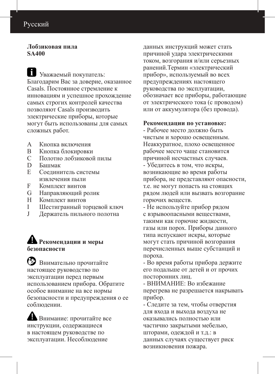### Русский

#### **Лобзиковая пила SA400**

 Уважаемый покупатель: Благодарим Вас за доверие, оказанное Casals. Постоянное стремление к инновациям и успешное прохождение самых строгих контролей качества позволяют Casals производить электрические приборы, которые могут быть использованы для самых сложных работ.

- A Кнопка включения
- **B** Кнопка блокировки<br>C Полотно лобзикової
- C Полотно лобзиковой пилы
- D Башмак
- E Соединитель системы извлечения пыли
- **F** Комплект винтов<br>G Направляющий р
- G Направляющий ролик
- H Комплект винтов<br>I III естигранный та
- I Шестигранный торцевой ключ<br>J Лержатель пильного полотна
- Держатель пильного полотна

### **Рекомендации и меры безопасности**

 Внимательно прочитайте настоящее руководство по эксплуатации перед первым использованием прибора. Обратите особое внимание на все нормы безопасности и предупреждения о ее соблюдении.

 Внимание: прочитайте все инструкции, содержащиеся в настоящем руководстве по эксплуатации. Несоблюдение

данных инструкций может стать причиной удара электрическими током, возгорания и/или серьезных ранений.Термин «электрический прибор», используемый во всех предупреждениях настоящего руководства по эксплуатации, обозначает все приборы, работающие от электрического тока (с проводом) или от аккумулятора (без провода).

#### **Рекомендации по установке:**

- Рабочее место должно быть чистым и хорошо освещенным. Неаккуратное, плохо освещенное рабочее место чаще становится причиной несчастных случаев. - Убедитесь в том, что искры, возникающие во время работы прибора, не представляют опасности, т.е. не могут попасть на стоящих рядом людей или вызвать возгорание горючих веществ.

- Не используйте прибор рядом с взрывоопасными веществами, такими как горючие жидкости, газы или порох. Приборы данного типа испускают искры, которые могут стать причиной возгорания перечисленных выше субстанций и пороха.

- Во время работы прибора держите его подальше от детей и от прочих посторонних лиц.

- ВНИМАНИЕ: Во избежание перегрева не разрешается накрывать прибор.

- Следите за тем, чтобы отверстия для входа и выхода воздуха не оказывались полностью или частично закрытыми мебелью, шторами, одеждой и т.д.: в данных случаях существует риск возникновения пожара.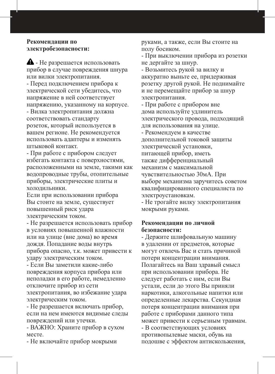#### **Рекомендации по электробезопасности:**

 - Не разрешается использовать прибор в случае повреждения шнура или вилки электропитания.

- Перед подключением прибора к электрической сети убедитесь, что напряжение в ней соответствует напряжению, указанному на корпусе.

- Вилка электропитания должна соответствовать стандарту розеток, который используется в вашем регионе. Не рекомендуется использовать адаптеры и изменять штыковой контакт.

- При работе с прибором следует избегать контакта с поверхностями, расположенными на земле, такими как водопроводные трубы, отопительные приборы, электрические плиты и холодильники.

Если при использовании прибора Вы стоите на земле, существует повышенный риск удара электрическим током.

- Не разрешается использовать прибор в условиях повышенной влажности или на улице (вне дома) во время дождя. Попадание воды внутрь прибора опасно, т.к. может привести к удару электрическим током.

- Если Вы заметили какие-либо повреждения корпуса прибора или неполадки в его работе, немедленно отключите прибор из сети электропитания, во избежание удара электрическим током.

- Не разрешается включать прибор, если на нем имеются видимые следы повреждений или утечки.

- ВАЖНО: Храните прибор в сухом месте.

- Не включайте прибор мокрыми

руками, а также, если Вы стоите на полу босиком.

- При выключении прибора из розетки не дергайте за шнур.

- Возьмитесь рукой за вилку и аккуратно выньте ее, придерживая розетку другой рукой. Не поднимайте и не перемещайте прибор за шнур электропитания.

- При работе с прибором вне дома используйте удлинитель электрического провода, подходящий для использования на улице.

- Рекомендуем в качестве дополнительной токовой защиты электрической установки, питающей прибор, иметь также дифференциальный механизм с максимальной чувствительностью 30мА. При выборе механизма заручитесь советом квалифицированного специалиста по электроустановкам.

- Не трогайте вилку электропитания мокрыми руками.

#### **Рекомендации по личной безопасности:**

- Держите шлифовальную машину в удалении от предметов, которые могут отвлечь Вас и стать причиной потери концентрации внимания. Полагайтесь на Ваш здравый смысл при использовании прибора. Не следует работать с ним, если Вы устали, если до этого Вы приняли наркотики, алкогольные напитки или определенные лекарства. Секундная потеря концентрации внимания при работе с приборами данного типа может привести к серьезным травмам.

- В соответствующих условиях противопылевые маски, обувь на подошве с эффектом антискольжения,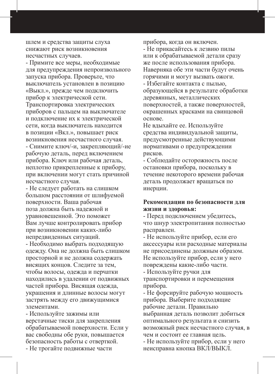шлем и средства защиты слуха снижают риск возникновения несчастных случаев.

- Примите все меры, необходимые для предупреждения непроизвольного запуска прибора. Проверьте, что выключатель установлен в позицию «Выкл.», прежде чем подключить прибор к электрической сети. Транспортировка электрических приборов с пальцем на выключателе и подключение их к электрической сети, когда выключатель находится в позиции «Вкл.», повышает риск возникновения несчастного случая. - Снимите ключ/-и, закрепляющий/-ие рабочую деталь, перед включением прибора. Ключ или рабочая деталь, неплотно прикрепленные к прибору, при включении могут стать причиной несчастного случая.

- Не следует работать на слишком большом расстоянии от шлифуемой поверхности. Ваша рабочая поза должна быть надежной и уравновешенной. Это поможет Вам лучше контролировать прибор при возникновении каких-либо непредвиденных ситуаций.

- Необходимо выбрать подходящую одежду. Она не должна быть слишком просторной и не должна содержать висящих концов. Следите за тем, чтобы волосы, одежда и перчатки находились в удалении от подвижных частей прибора. Висящая одежда, украшения и длинные волосы могут застрять между его движущимися элементами.

- Используйте зажимы или верстачные тиски для закрепления обрабатываемой поверхности. Если у вас свободны обе руки, повышается безопасность работы с отверткой. - Не трогайте подвижные части

прибора, когда он включен.

- Не прикасайтесь к лезвию пилы или к обрабатываемой детали сразу же после использования прибора. Наверняка обе эти части будут очень горячими и могут вызвать ожоги. - Избегайте контакта с пылью, образующейся в результате обработки деревянных, металлических поверхностей, а также поверхностей, окрашенных красками на свинцовой основе.

Не вдыхайте ее. Используйте средства индивидуальной защиты, предусмотренные действующими нормативами о предупреждении рисков.

- Соблюдайте осторожность после остановки прибора, поскольку в течение некоторого времени рабочая деталь продолжает вращаться по инерции.

#### **Рекомендации по безопасности для жизни и здоровья:**

- Перед подключением убедитесь, что шнур электропитания полностью расправлен.

- Не используйте прибор, если его аксессуары или расходные материалы не присоединены должным образом. Не используйте прибор, если у него повреждены какие-либо части. - Используйте ручки для

транспортировки и перемещения прибора.

- Не форсируйте рабочую мощность прибора. Выберите подходящие рабочие детали. Правильно выбранная деталь позволит добиться оптимального результата и снизить возможный риск несчастного случая, в чем и состоит ее главная цель.

- Не используйте прибор, если у него неисправна кнопка ВКЛ/ВЫКЛ.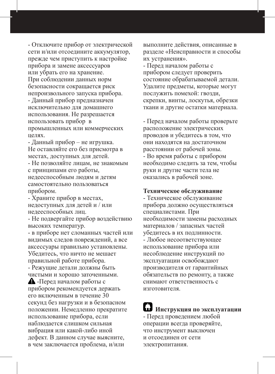- Отключите прибор от электрической сети и/или отсоедините аккумулятор, прежде чем приступить к настройке прибора и замене аксессуаров или убрать его на хранение. При соблюдении данных норм безопасности сокращается риск непроизвольного запуска прибора. - Данный прибор предназначен

исключительно для домашнего использования. Не разрешается использовать прибор в промышленных или коммерческих целях.

- Данный прибор – не игрушка. Не оставляйте его без присмотра в местах, доступных для детей. - Не позволяйте лицам, не знакомым с принципами его работы, недееспособным людям и детям самостоятельно пользоваться

прибором. - Храните прибор в местах, недоступных для детей и / или недееспособных лиц.

- Не подвергайте прибор воздействию высоких температур.

- в приборе нет сломанных частей или видимых следов повреждений, а все аксессуары правильно установлены. Убедитесь, что ничто не мешает правильной работе прибора.

- Режущие детали должны быть чистыми и хорошо заточенными.

 -Перед началом работы с прибором рекомендуется держать его включенным в течение 30 секунд без нагрузки и в безопасном положении. Немедленно прекратите использование прибора, если наблюдается слишком сильная вибрация или какой-либо иной дефект. В данном случае выясните, в чем заключается проблема, и/или

выполните действия, описанные в разделе «Неисправности и способы их устранения».

- Перед началом работы с прибором следует проверить состояние обрабатываемой детали. Удалите предметы, которые могут послужить помехой: гвозди, скрепки, винты, лоскутья, обрезки ткани и другие остатки материала.

- Перед началом работы проверьте расположение электрических проводов и убедитесь в том, что они находятся на достаточном расстоянии от рабочей зоны. - Во время работы с прибором необходимо следить за тем, чтобы руки и другие части тела не оказались в рабочей зоне.

#### **Техническое обслуживание**

- Техническое обслуживание прибора должно осуществляться специалистами. При необходимости замены расходных материалов / запасных частей убедитесь в их подлинности. - Любое несоответствующее использование прибора или несоблюдение инструкций по эксплуатации освобождают производителя от гарантийных обязательств по ремонту, а также снимают ответственность с изготовителя.

**Инструкция по эксплуатации** - Перед проведением любой операции всегда проверяйте, что инструмент выключен и отсоединен от сети электропитания.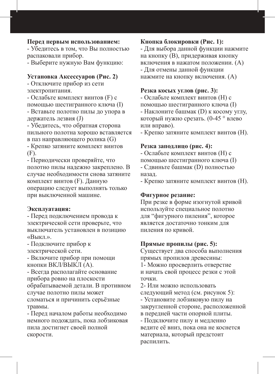#### **Перед первым использованием:**

- Убедитесь в том, что Вы полностью распаковали прибор.

- Выберите нужную Вам функцию:

#### **Установка Аксессуаров (Рис. 2)**

- Отключите прибор из сети электропитания.

- Ослабьте комплект винтов (F) с помощью шестигранного ключа (I) - Вставьте полотно пилы до упора в

держатель лезвия (J) - Убедитесь, что обратная сторона

пильного полотна хорошо вставляется в паз направляющего ролика (G)

- Крепко затяните комплект винтов (F).

- Периодически проверяйте, что полотно пилы надежно закреплено. В случае необходимости снова затяните комплект винтов (F). Данную операцию следует выполнять только при выключенной машине.

#### **Эксплуатация:**

- Перед подключением провода к электрической сети проверьте, что выключатель установлен в позицию «Выкл.».

- Подключите прибор к электрической сети.

- Включите прибор при помощи кнопки ВКЛ/ВЫКЛ (A).

- Всегда располагайте основание прибора ровно на плоскости обрабатываемой детали. В противном случае полотно пилы может сломаться и причинить серьёзные травмы.

- Перед началом работы необходимо немного подождать, пока лобзиковая пила достигнет своей полной скорости.

#### **Кнопка блокировки (Рис. 1):**

- Для выбора данной функции нажмите на кнопку (B), придерживая кнопку включения в нажатом положении. (A) - Для отмены данной функции нажмите на кнопку включения. (A)

#### **Резка косых углов (рис. 3):**

- Ослабьте комплект винтов (H) с помощью шестигранного ключа (I) - Наклоните башмак (D) к косому углу, который нужно срезать. (0-45 ° влево или вправо).

- Крепко затяните комплект винтов (H).

#### **Резка заподлицо (рис. 4):**

- Ослабьте комплект винтов (H) с помощью шестигранного ключа (I) - Сдвиньте башмак (D) полностью назад.

- Крепко затяните комплект винтов (H).

#### **Фигурное резание:**

При резке в форме изогнутой кривой используйте специальное полотно для "фигурного пиления", которое является достаточно тонким для пиления по кривой.

#### **Прямые пропилы (рис. 5):**

Существует два способа выполнения прямых пропилов древесины: 1- Можно просверлить отверстие

и начать свой процесс резки с этой точки.

2- Или можно использовать следующий метод (см. рисунок 5): - Установите лобзиковую пилу на закругленной стороне, расположенной в передней части опорной плиты. - Подключите пилу и медленно ведите её вниз, пока она не коснется материала, который предстоит

распилить.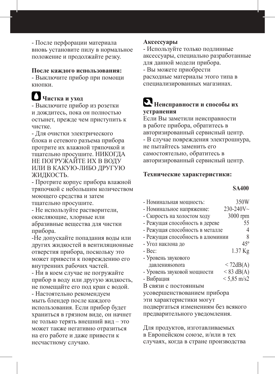- После перфорации материала вновь установите пилу в нормальное положение и продолжайте резку.

#### **После каждого использования:**

- Выключите прибор при помощи кнопки.

# **Чистка и уход**

- Выключите прибор из розетки и дождитесь, пока он полностью остынет, прежде чем приступить к чистке.

- Для очистки электрического блока и сетевого разъема прибора протрите их влажной тряпочкой и тщательно просушите. НИКОГДА НЕ ПОГРУЖАЙТЕ ИХ В ВОДУ ИЛИ В КАКУЮ-ЛИБО ДРУГУЮ ЖИДКОСТЬ.

- Протрите корпус прибора влажной тряпочкой с небольшим количеством моющего средства и затем тщательно просушите.

- Не используйте растворители, окисляющие, хлорные или абразивные вещества для чистки прибора.

-Не допускайте попадания воды или других жидкостей в вентиляционные отверстия прибора, поскольку это может привести к повреждению его внутренних рабочих частей.

- Ни в коем случае не погружайте прибор в воду или другую жидкость, не помещайте его под кран с водой. - Настоятельно рекомендуем мыть блендер после каждого использования. Если прибор будет храниться в грязном виде, он начнет не только терять внешний вид – это может также негативно отразиться на его работе и даже привести к несчастному случаю.

#### **Аксессуары**

- Используйте только подлинные аксессуары, специально разработанные для данной модели прибора. - Вы можете приобрести

расходные материалы этого типа в специализированных магазинах.

# **Неисправности и способы их устранения**

Если Вы заметили неисправности в работе прибора, обратитесь в авторизированный сервисный центр. - В случае повреждения электрошнура, не пытайтесь заменить его самостоятельно, обратитесь в авторизированный сервисный центр.

#### **Технические характеристики:**

#### **SA400**

| - Номинальная мощность:             | 350W                  |
|-------------------------------------|-----------------------|
| - Номинальное напряжение:           | $230 - 240V$ ~        |
| - Скорость на холостом ходу         | 3000 rpm              |
| - Режущая способность в дереве      | 55                    |
| - Режущая способность в металле     | 4                     |
| - Режущая способность в алюминии    | 8                     |
| - Угол наклона до                   | $45^\circ$            |
| - Bec:                              | 1.37 Kg               |
| - Уровень звукового                 |                       |
| давления sonora                     | < 72dB(A)             |
| - Уровень звуковой мощности         | $< 83$ dB(A)          |
| - Вибрация                          | $< 5,85 \text{ m/s2}$ |
| В связи с постоянным                |                       |
| усовершенствованием прибора         |                       |
| эти характеристики могут            |                       |
| подвергаться изменениям без всякого |                       |
| предварительного уведомления.       |                       |

Для продуктов, изготавливаемых в Европейском союзе, и/или в тех случаях, когда в стране производства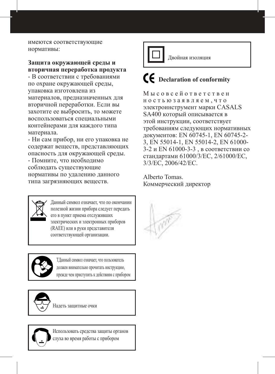имеются соответствующие нормативы:

#### **Защита окружающей среды и вторичная переработка продукта**

- В соответствии с требованиями по охране окружающей среды, упаковка изготовлена из материалов, предназначенных для вторичной переработки. Если вы захотите ее выбросить, то можете воспользоваться специальными контейнерами для каждого типа материала.

- Ни сам прибор, ни его упаковка не содержат веществ, представляющих опасность для окружающей среды.

- Помните, что необходимо соблюдать существующие нормативы по удалению данного типа загрязняющих веществ.

> Данный символ означает, что по окончании полезной жизни прибора следует передать его в пункт приема отслуживших электрических и электронных приборов (RAEE) или в руки представителя соответствующей организации.



ΤДанный символ означает, что пользователь должен внимательно прочитать инструкцию, прежде чем приступить к действиям с прибором

Надеть защитные очки



Использовать средства защиты органов слуха во время работы с прибором



# **Declaration of conformity**

М ы с о в с е й о т в е т с т в е н н о с т ь ю з а я в л я е м , ч т о электроинструмент марки CASALS SA400 который описывается в этой инструкции, соответствует требованиям следующих нормативных документов: EN 60745-1, EN 60745-2- 3, EN 55014-1, EN 55014-2, EN 61000- 3-2 и EN 61000-3-3 , в соответствии со стандартами 61000/3/EC, 2/61000/EC, 3/3/EC, 2006/42/EC.

Alberto Tomas. Коммерческий директор

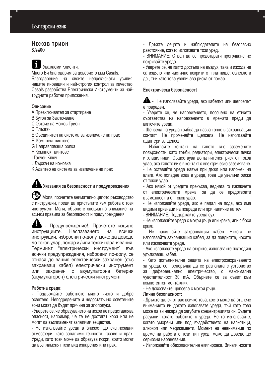#### **Ножов трион SA400**

Уважаеми Клиенти,

Много Ви благодарим за доверието към Casals. Благодарение на своите непрекъснати усилия, нашите иновации и най-строгия контрол за качество, Casals разработва Електрически Инструменти за найтрудните работни приложения.

#### **Описание**

А Превключвател за стартиране

- B Бутон за Заключване
- C Острие на Ножов Трион
- D Плъзгач
- E Съединител на система за извличане на прах
- F Комплект винтове
- G Направляваща ролка
- H Комплект винтове
- I Гаечен Ключ
- J Държач на ножовка
- K Адаптер на система за извличане на прах

# **Указания за безопасност и предупреждения**

 Моля, прочетете внимателно цялото ръководство с инструкции, преди да пристъпите към работа с този инструмент. Моля, обърнете специално внимание на всички правила за безопасност и предупреждения.

- Предупреждение!. Прочетете изцяло инструкциите. Неспазването на всички инструкции, изброени по-долу, може да доведе до токов удар, пожар и / или тежки наранявания. Терминът "електрически инструмент" във всички предупреждения, изброени по-долу, се отнася до вашия електрически захранен (със захранващ кабел) електрически инструмент или захранен с акумулаторна батерия (акумулаторен) електрически инструмент

#### **Работна среда:**

- Поддържайте работното място чисто и добре осветено. Неподредените и недостатъчно осветените зони могат да бъдат причина за злополуки.

- Уверете се, че образуването на искри не представлява опасност, например, че те не достигат хора или не могат да възпламенят запалими вещества.

- Не използвайте уреда в близост до експлозивни атмосфери, като запалими течности, газове и прах. Уреди, като този може да образува искри, които могат да възпламенят този вид изпарения или прах.

- Дръжте децата и наблюдателите на безопасно разстояние, когато използвате този уред.

- ВНИМАНИЕ: С цел да се предотврати прегряване не покривайте уреда.

- Уверете се, че както достъпа на въздух, така и изхода не са изцяло или частично покрити от платнище, облекло и др., тъй като това увеличава риска от пожар.

#### **Електрическа безопасност**:

 - Не използвайте уреда, ако кабелът или щепселът е повреден.

- Уверете се, че напрежението, посочено на етикета съответства на напрежението в мрежата преди да включите уреда.

- Щепсела на уреда трябва да пасва точно в захранващия контакт. Не променяйте щепсела. Не използвайте адаптери за щепсел.

- Избягвайте контакт на тялото със заземените повърхности, като тръби, радиатори, електрически печки и хладилници. Съществува допълнителен риск от токов удар, ако тялото ви е в контакт с електрическо заземяване. - Не оставяйте уреда навън при дъжд или изложен на влага. Ако попадне вода в уреда, това ще увеличи риска от токов удар.

- Ако някой от уредите прекъсва, веднага го изключете от електрическата мрежа, за да се предотврати възможността от токов удар.

- Не използвайте уреда, ако е падал на пода, ако има видими признаци на повреда или при наличие на теч.

- ВНИМАНИЕ: Поддържайте уреда сух.

- Не използвайте уреда с мокри ръце или крака, или с боси крака.

- Не насилвайте захранващия кабел. Никога не използвайте захранващия кабел, за да повдигате, носите или изключвате уреда.

- Ако използвате уреда на открито, използвайте подходящ удължаващ кабел.

- Като допълнителна защита на електрозахранването за уреда, се препоръчва да се разполага с устройство за диференциално електричество, с максимална чувствителност 30 mA. Обърнете се за съвет към компетентен монтажник.

- Не докосвайте щепсела с мокри ръце.

#### **Лична безопасност:**

- Дръжте далеч от вас всичко това, което може да отвлече вниманието ви докато използвате уреда, тъй като това може да ви накара да загубите концентрацията си. Бъдете разумни, когато работите с уреда. Не го използвайте, когато уморени или под въздействието на наркотици, алкохол или медикаменти. Момент на невнимание по време на работа с този тип уред, може да доведе до сериозни наранявания.

- Използвайте обезопасителна екипировка. Винаги носете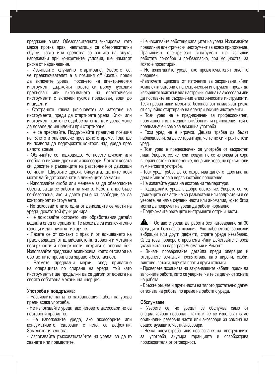предпазни очила. Обезопасителната екипировка, като маска против прах, неплъзгащи се обезопасителни обувки, каска или средства за защита на слуха, използвани при конкретните условия, ще намалят риска от наранявания.

- Избягвайте случайно стартиране. Уверете се, че превключвателят е в позиция off (изкл.), преди да включите уреда. Носенето на електрическия инструмент, държейки пръста си върху пусковия прекъсвач или включването на електрически инструменти с включен пусков прекъсвач, води до инциденти.

- Отстранете ключа (ключовете) за затягане на инструмента, преди да стартирате уреда. Ключ или инструмент, който не е добре затегнат към уреда може да доведе до инциденти при стартиране.

- Не се пресягайте. Поддържайте правилна позиция на тялото и равновесие през цялото време. Това ще ви позволи да поддържате контрол над уреда през цялото време.

- Обличайте се подходящо. Не носете широки или свободно висящи дрехи или аксесоари. Дръжте косата си, дрехите и ръкавиците на разстояние от движещи се части. Широките дрехи, бижутата, дългите коси могат да бъдат захванати в движещите се части.

- Използвайте скоби или менгеме за да обезопасите обекта, за да се работи на място. Работата ще бъде по-безопасна, ако и двете ръце са свободни за да контролират инструмента.

- Не докосвайте нито една от движещите се части на уреда, докато той функционира.

- Не докосвайте острието или обработвания детайл веднага след операцията. Те може да са изключително горещи и да причинят изгаряне.

- Пазете се от контакт с прах и от вдишването на прах, създаден от шлайфането на дървени и метални повърхности и повърхности, покрити с оловна боя. Използвайте предпазна екипировка, която отговаря на съответните правила за здраве и безопасност.

- Вземете предпазни мерки, след прилагане на операцията по спиране на уреда, тъй като инструментът ще продължи да се движи от ефекта на своята собствена механична инерция.

#### **Употреба и поддръжка:**

- Развивайте напълно захранващия кабел на уреда преди всяка употреба.

- Не използвайте уреда, ако неговите аксесоари не са поставени правилно.

- Не използвайте уреда, ако аксесоарите или консумативите, свързани с него, са дефектни. Заменете ги веднага.

- Използвайте ръкохватката/-ите на уреда, за да го хванете или преместите.

- Не насилвайте работния капацитет на уреда. Използвайте правилния електрически инструмент за всяко приложение. Правилният електрически инструмент ще извърши работата по-добре и по-безопасно, при мощността, за която е проектиран.

- Не използвайте уреда, ако превключвателят on/off е повреден.

-Изключете щепсела от източника за захранване и/или комплекта батерии от електрическия инструмент, преди да извършите всякакъв вид настройки, смяна на аксесоари или да поставите на съхранение електрическите инструменти. Тези превантивни мерки за безопасност намаляват риска от случайно стартиране на електрическите инструменти.

- Този уред не е предназначен за професионални, промишлени или медицински/болнични приложения, той е предназначен само за домашна употреба.

- Този уред не е играчка. Децата трябва да бъдат наблюдавани, за да се гарантира, че те не си играят с този уред.

- Този уред е предназначен за употреба от възрастни лица. Уверете се, че този продукт не се използва от хора в неравностойно положение, деца или хора, не привикнали към неговата употреба.

- Този уред трябва да се съхранява далеч от достъпа на деца и/или хора в неравностойно положение.

- Не излагайте уреда на екстремни температури.

- Поддържайте уреда в добро състояние. Уверете се, че движещите се части не са разместени или задръстени и се уверете, че няма счупени части или аномалии, които биха могли да попречат на уреда да работи нормално.

- Поддържайте режещите инструменти остри и чисти.

 - Оставете уреда да работи без натоварване за 30 секунди в безопасна позиция. Ако забележите сериозни вибрации или други дефекти, спрете уреда незабавно. След това проверете проблема и/или действайте според указанията на параграф Аномалии и Ремонт.

- Винаги проверявайте детайла преди операция и отстранете всякакви препятствия, като пирони, скоби, винтове, връзки, парчета плат и други отломки.

- Проверете позицията на захранващите кабели, преди да започнете работа, като се уверите, че те са далеч от зоната на работа.

- Дръжте ръцете и други части на тялото достатъчно далеч от зоната на работа, по време на работа с уреда.

#### **Обслужване:**

- Уверете се, че уредът се обслужва само от специализиран персонал, както и че се използват само оригинални резервни части или аксесоари за замяна на съществуващите части/аксесоари.

- Всяка злоупотреба или неспазване на инструкциите за употреба анулира гаранцията и освобождава производителя от отговорност.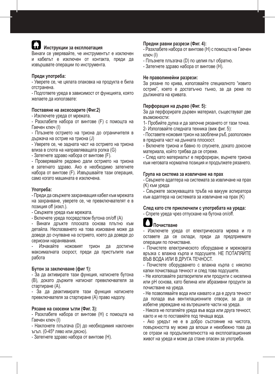# **Инструкции за експлоатация**

Винаги се уверявайте, че инструментът е изключен и кабелът е изключен от контакта, преди да извършвате операции по инструмента.

#### **Преди употреба:**

- Уверете се, че цялата опаковка на продукта е била отстранена.

- Подгответе уреда в зависимост от функцията, която желаете да използвате:

#### **Поставяне на аксесоарите (Фиг.2)**

- Изключете уреда от мрежата.

- Разхлабете набора от винтове (F) с помощта на Гаечен ключ (I)

- Плъзнете острието на триона до ограничителя в държача на острие на триона (J)

- Уверете се, че задната част на острието на триона влиза в слота на направляващата ролка (G)

- Затегнете здраво набора от винтове (F).

- Проверявайте редовно дали острието на триона е затегнато здраво. Ако е необходимо затегнете набора от винтове (F). Извършвайте тази операция, само когато машината е изключена.

#### **Употреба:**

- Преди да свържете захранващия кабел към мрежата на захранване, уверете се, че превключвателят е в позиция off (изкл.).

- Свържете уреда към мрежата.
- Включете уреда посредством бутона on/off (А)

- Винаги дръжте плоската основа плътно към детайла. Неспазването на това изискване може да доведе до счупване на острието, което да доведе до сериозни наранявания.

- Изчакайте ножовият трион да достигне максималната скорост, преди да пристъпите към работа

#### **Бутон за заключване (фиг 1):**

- За да активирате тази функция, натиснете бутона (B), докато държите натиснат превключвателя за стартиране (A).

- За да деактивирате тази функция натиснете превключвателя за стартиране (A) право надолу.

#### **Рязане на скосени ъгли (Фиг. 3):**

- Разхлабете набора от винтове (H) с помощта на Гаечен ключ (I)

- Наклонете плъзгача (D) до необходимия наклонен ъгъл. (0-45º ляво или дясно).

- Затегнете здраво набора от винтове (H).

#### **Предни равни разрези (Фиг. 4):**

- Разхлабете набора от винтове (H) с помощта на Гаечен ключ (I)

- Плъзнете плъзгача (D) по целия път обратно.
- Затегнете здраво набора от винтове (H).

#### **Не праволинейни разрези:**

За рязане по крива, използвайте специалното "извито острие", което е достатъчно тънко, за да реже по дължината на кривата.

#### **Перфорация на дърво (Фиг. 5):**

За да перфорирате дървен материал, съществуват две възможности:

1- Пробийте дупка и да започне рязането от тази точка.

2- Използвайте следната техника (виж фиг. 5):

- Поставете ножовия трион на заоблени ръб, разположен в предната част на дънната плоскост.

- Включете триона и бавно го спуснете, докато докосне материала, който трябва да се отреже.

- След като материалът е перфориран, върнете триона към неговата нормална позиция и продължете рязането.

#### **Група на система за извличане на прах**

- Свържете адаптера на системата за извличане на прах (K) към уреда

- Свържете засмукващата тръба на вакуум аспиратора към адаптера на системата за извличане на прах (K)

#### **След като сте приключили с употребата на уреда:**

- Спрете уреда чрез отпускане на бутона on/off.

#### **Почистване**

- Изключете уреда от електрическата мрежа и го оставете да се охлади, преди да предприемате операции по почистване.

- Почистете електрическото оборудване и мрежовата връзка с влажна кърпа и подсушете. НЕ ПОТАПЯЙТЕ ВЪВ ВОДА ИЛИ В ДРУГА ТЕЧНОСТ.

- Почистете оборудването с влажна кърпа с няколко капки почистваща течност и след това подсушете.

- Не използвайте разтворители или продукти с киселина или рН основа, като белина или абразивни продукти за почистване на уреда.

- Не позволявайте вода или каквато и да е друга течност да попада във вентилационните отвори, за да се избегне увреждане на вътрешните части на уреда.

- Никога не потапяйте уреда във вода или друга течност, както и не го поставяйте под течаща вода.

- Ако уредът не е в добро състояние на чистота, повърхността му може да влоши и неизбежно това да се отрази на продължителността на експлоатационния живот на уреда и може да стане опасен за употреба.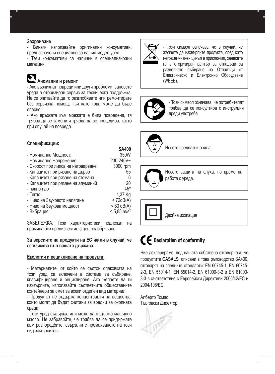#### **Захранване**

- Винаги използвайте оригинални консумативи, предназначени специално за вашия модел уред.

- Тези консумативи са налични в специализирани магазини.

# **Аномалии и ремонт**

- Ако възникнат повреди или други проблеми, занесете уреда в оторизиран сервиз за техническа поддръжка. Не се опитвайте да го разглобявате или ремонтирате без сервизна помощ, тъй като това може да бъде опасно.

- Ако връзката към мрежата е била повредена, тя трябва да се замени и трябва да се процедира, както при случай на повреда.

#### **Спецификации**:

| <b>SA400</b>              |
|---------------------------|
| 350W                      |
| 230-240V~                 |
| 3000 rpm                  |
| 55                        |
| 6                         |
| 20                        |
| 45°                       |
| 1.37 Kg                   |
| < 72dB(A)                 |
| $< 83$ dB(A)              |
| $< 5.85$ m/s <sup>2</sup> |
|                           |

ЗАБЕЛЕЖКА: Тези характеристики подлежат на промяна без предизвестие с цел подобряване.

#### **За версиите на продукти на ЕС и/или в случай, че се изисква във вашата държава:**

#### **Екология и рециклиране на продукта**

- Материалите, от който се състои опаковката на този уред са включени в система за събиране, класифициране и рециклиране. Ако желаете да ги изхвърлите, използвайте съответните обществените контейнери за смет за всеки отделен вид материал.

- Продуктът не съдържа концентрация на вещества, които могат да бъдат считани за вредни за околната среда.

- Този уред съдържа, или може да съдържа машинно масло. Не забравяйте, че трябва да се придържате към разпоредбите, свързани с премахването на този вид замърсител.



- Този символ означава, че в случай, че желаете да изхвърлите продукта, след като неговия жизнен цикъл е приключил, занесете го в оторизиран център за отпадъци за разделното събиране на Отпадъци от Електрическо и Електронно Оборудване (WEEE).



- Този символ означава, че потребителят трябва да се консултира с инструкции преди употреба.



Носете предпазни очила.



Двойна изолация

# $\boldsymbol{\epsilon}$  Declaration of conformity

Ние декларираме, под нашата собствена отговорност, че продуктите **CASALS**, описани в това ръководство SA400, отговарят на следните стандарти: EN 60745-1, EN 60745- 2-3, EN 55014-1, EN 55014-2, EN 61000-3-2 и EN 61000- 3-3 в съответствие с Европейски Директиви 2006/42/EC и 2004/108/EC.

Алберто Томас Търговски Директор.

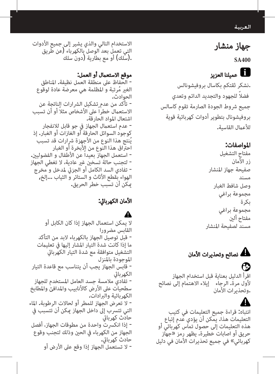#### العربية

# جهاز منشار

**SA400**

# عميلنا العزيز

 .نشكر ثقتكم بكاسال بروفيشونالس ً فضال للجهود والتجديد الدائم وتعدي جميع رشوط الجودة الصارمة تقوم كاسالس بروفيشونال بتطوير أدوات كهربائية قوية للأعمال القاسية**.** 

#### املواصفات:

مفتاح التشغيل زر الأمان صفيحة جهاز املنشار مسند وصل شافط الغبار مجموعة براغي بكرة مجموعة براغي مفتاح ألني مسند لصفيحة املنشار

نصائح وتحذيرات الأمان $\blacktriangle$ 

اقرأ الدليل بعناية قبل استخدام الجهاز ألول مرة. الرجاء إيالء االهتمام إلى نصائح .وتحذيرات األمان

انتباه: قراءة جميع التعليمات في كتيب التعليمات هذا. يمكن أن يؤدي عدم إتباع هذه التعليمات إلى حصول تماس كهربائي أو حريق أو اصابات خطيرة. يظهر رمز »جهاز كهربائي» في جميع تحذيرات الأمان في دليل

االستخدام التالي والذي يشير إلى جميع األدوات التي تعمل بعد الوصل بالكهرباء (عن طريق .(سلك( أو مع بطارية )دون سلك

**موقع الاستعمال أو العمل:**<br>- الحفاظ على منطقة العمل نظيفة**.** المناطق الغير مُرتبة و المظلمة هي معرضة عادة لوقوع<br>الحوادث.<br>- تأكد من عدم تشكيل الش ارات الناتحة عن الاستعمال خطراً على الأشخاص مثلا أو أن تسبب<br>اشتعال المواد الحارقة.<br>- عدم استعمال الجهاز في جو قابل للانفجار كوجود السوائل الحارقة أو الغازات أو الغبار. إذ<br>يُنتج هذا النوع من الأجهزة شرارات قد تسبب احتّراق هذا النوع من الأبخرة أو الغبار<br>- استعمل الجهاز بعيداً عن الأطفال و الفضوليين.<br>- لتجنب حالة تسخين غير عادية، لا تغطي الجهاز<br>- تفادي السد الكامل أو الجزئي لمدخل و مخرج<br>الهواء بقطع الأثاث و الستائر و الثياب ...إلخ,<br>م

# األمان الكهربايئ:

### ▲

ال يمكن استعمال الجهاز إذا كان الكابل أو القابس مضرورا<br>- قبل توصيل الحماز بالكمرباء لابد من التأكد ما إذا كانت شدة التيار المشار إليها في تعليمات التشغيل متوافقة مع شدة التيار الكهربايئ املوجودة باملنزل - قابس الجهاز يجب أن يتناسب مع قاعدة التيار<br>الكهربائ - تفاديً ملامسة جسد العامل المستخدم للجهاز<br>سطحيات على الأرض كالأنابيب والمدافئ والمطابخ<br>الكمر بائية والبرادات. - لا تعرض الجهاز للمطر أو لحالات الرطوبة. الماء<br>التي تتسرب إلى داخل الجهاز عكن أن تتسبب في<br>حادث كهر بائي - إذا انكسرت واحدة من مطوقات الجهاز، أفصل<br>الجهاز من الكهرباء في الحين وذلك لتجنب وقوع<br>حادث كهربائي.<br>- لا تستعمل الجهاز إذا وقع على الأرض أو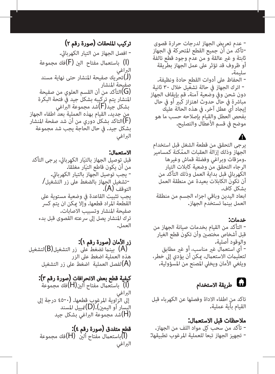- عدم تعريض الجهاز لدرجات حرارة قصوى<br>-تأكد من أن جميع القطع المتحركة في الجهاز<br>ثابتة و غير عالقة و من عدم وجود قطع تالفة<br>أو ظروف قد تؤثر على عمل الجهاز بطريقة سليمة**.**<br>- الحفاظ على أدوات القطع حادة ونظيفة.<br>- ترك الجهاز في حالة تشغيل خلال ٣٠ ثانية<br>دوات شحن وفي وضعية آمنة. قم بإيقاف الجهاز<br>مباشرة فى حال حدوث اهتزاز كب<u>ر</u> أو فى حال إيجاد أي عطل آخر. يف هذه الحالة عليك بفحص العطل والقيام بإصلاحه حسب ما هو<br>موضح في قسم الأعطال والتصليح.

يرجى التحقق من قطعة الشغل قبل استخدام الجهاز وذلك إزالة العقبات الممّكنة كمسامير<br>.ومزقات وبراغي وفضلة قماش وغيرها<br>الرجاء التحقق من وضعية كابلات التيار الكهربايئ قبل بداية العمل وذلك التأكد من أن تكون الكابلات بعيدة عن منطقة العمل<br>ىشكل كاف. ابعاد اليدين وباقي اجزاء الجسم من منطقة<br>العمل بينما تستخدم الجهاز**.** 

خدمات: - التأكد من القيام بخدمات صيانة الجهاز من<br>قبل أشخاص مختصن وأن تكون قطع الغيار<br>والوقود أصلية،<br>- أي استعمال غر مناسب، أو غر مطابق لتعليمات الاستعمال، مكن أن يؤدي إلى خطر،<br>ويلغي الأمان ويخلي المصنع من المسؤولية.

# طريقة الاستخدام  $\blacksquare$

تاكد من اطفاء الاداة وفصلها عن الكهرباء قبل<br>القيام بأية عملية**.** 

**ملاحظات قبل الاستعمال:ْ**<br>- تأكد من سحب كل مواد اللف من الجهاز**.**<br>- تجهيز الجهاز تبعاً للعملية المرغوب تطبيقها:ْ

# تركيب امللحقات )صورة رقم 2(

- افصل الجهاز من التيار الكهربايئ. )I )باستعامل مفتاح الني )F)فك مجموعة الرباغي )J)تحريك صفيحة املنشار حتى نهاية مسند صفيحة املنشار )G)التأكد من أن القسم العلوي من صفيحة املنشار يتم تركيبه بشكل جيد يف فتحة البكرة بشكل جيد)F)شد مجموعة الرباغي من جديد. القيام بهذه العملية بعد اطفاء الجهاز )F)التاكد بشكل دوري من أن شد صفحة املنشار بشكل جيد. يف حال الحاجة يجب شد مجموعة البراغي

الاستعمال: قبل توصيل الجهاز بالتيّار الكهربائي، يرجى التأكد<br>من أن يكون قاطع التيّار مغلقّا.<br>- يجب توصيل الجهاز بالتيار الكهربائي.<br>-تشغيل الجهاز بالضغط على زر التشغيل/<br>التوقف (A). يجب تثبيت القاعدة يف وضعية مستوية عىل القطعة المراد قطعها. وإلا عكن ان يتم كسر<br>صفيحة المنشار وتسبيب الاصابات. ترك المنشار يصل إلى سرعته القصوى قبل بدء<br>العما .

زر الأمان (صورة رقم ۱): )A )بينام تضغط عىل زر التشغيل)B)لتشغيل هذه العملية اضغط عىل الزر لفصل العملية اضغط على زر التشغيل $({\sf A})$ 

كيفية قطع بعض االنحرافات )صورة رقم 3(: )I )باستعامل مفتاح ألني)H)فك مجموعة

الراغي إلى الزّاوية المرغوب قطعها. (•-٤٥ درجة إلى اليسار أو اليمني(.)D)متييل املسند )H)شد مجموعة الرباغي بشكل جيد

قطع متفدق (صورة رقم ٤): )I)باستعامل مفتاح ألني )H)فك مجموعة البراغي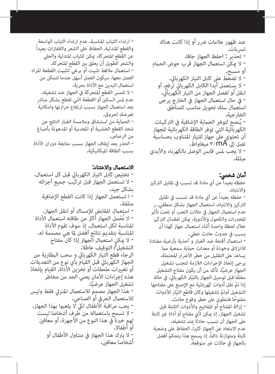- ارتداء الثياب المناسبة. عدم ارتداء الثياب الواسعة<br>والقطع المتدلية. الحفاظ على الشعر والقفازات بعيداً عن القطع املتحركة. ميكن للثياب املتدلية والحيل والشعر الطويل أن يعلق بني القطع املتحركة. - استعامل مالقط تثبيت أو برغي لتثبيت القطعة املراد العمل معها. سيكون العمل أسهل عندما تتمكن من استعمال اليدين مع الأداة بحرية. - ال تلمس القطع املتحركة يف الجهاز عند تشغيله. عدم لمس السكنّ أو القطعة التي تقطع بشكل مباشر بعد استعمال الجهاز بسبب ارتفاع حرارتها وامكانية تعرضك لحروق. - الحامية من استنشاق ومالمسة الغبار الناتج عن شحذ القطع الخشبية أو املعدنية أو املدهونة بأصباغ من الرصاص. - الحذر بعد إيقاف الجهاز بسبب متابعة دوران األداة بسبب الطاقة امليكانيكية.

**الاستعمال والاعتناء:**<br>- تخليص كابل التيار الكهربائي قبل كل استعمال**.**<br>- لا تستعمل الجهاز قبل تركيب جميع أجزائه<br>ىشكل حىد**.** - ا تستعمل الجهاز إذا كانت القطع الإضافية<br>متلفة.<br>متلفة.<br>- استعمال المقابض للإمساك أو لنقل الجهاز.<br>المناسبة بتقديم نتائج أفضل لما هي مصممة له.<br>المناسبة بتقديم نتائج أفضل لما هي مصممة له. - لا عكن استعمال الجهاز إذا كان مفتاح<br>التشغيل/ التوقيف عاطلا. الرجاء قطع التيار الكهربايئ و سحب البطارية من الجهاز الكهربايئ قبل القيام بأي نوع من التعديالت أو تغييرات ملحقات أو تخزين الأداة. القيام بإتخاذ<br>هذه إجراءات الأمان يعني الحد من مخاطر تشغيل الجهاز عرضيًا.<br>- هذا الجهاز مصمم للاستعمال المنزلي فقط وليس<br>للاستعمال الحرفي أو الصناعي.<br>- يجب مراقبة الأطفال لكي لا يلعبوا بهذا الجهاز.<br>- لهم كبيرة في هذا النوع من الأجهزة، أو معاقين<br>لهم كبيرة في هذا النوع من الأجه - لا يترك هذا الجهاز في متناول الأطفال أو<br>أشخاصا معاقن.

عند ظهور علامات ضرر أو إذا كانت هناك<br>تسربات.<br>- تحذير : احفظ الجهاز جافا.<br>- تحذير : احفظ الجهاز قرب حوض الحمام<br>- لا يستعمل أبدا الكابل الكهربائي لرفج، أو<br>- لا يستعمل أبدا الكابل الكهربائي لرفج، أو<br>- لا يستعمل أبدا الكابل ا - في حال استعمال الجهاز في الخارج يرجى<br>استعمال سلك تحويل مناسب للمناطق<br>الخارجية.<br>- بُنصح لتوفر الحمابة الإضافية في التركيبات الكهربائية التي توفر الطاقة الكهربائية للجهاز أن تحتوي علىّ جهاز للتيار المتناوب بحساسية<br>تصل الى ٣٠mA مىغاواط**.** - لا يجب لمس قابس الوصل بالكهرباء والأيدي<br>مىللة.

**أمان شخصي:**<br>حفظه بعيداً عن أي مادة قد تسبب في تقليل التركيز واالنتباه. - حفظه بعيداً عن أي مادة قد تسبب يف تقليل التركيز والانتباه. استعمال الجهاز بشكل منطقي. ر عدم استعمال الجهاز فى حالات التعب أو تحت تأثير املخدرات والكحول واألدوية. ميكن لفقدان الرتكيز خلال لحظة واحدة أثناء استعمال جهاز كهذا أن يسبب يف حدوث حادث خطي. - استعمال أقنعة ضد الغبار و أحذية بأرضية مضادة للانزلاق وخوذة أو معدات حماية سمعية مما يساعد عىل التقليل من خطر األرضار املحتملة. يرجى إتخاذ الإجراءات اللازمة لتجنب تشغيل<br>الجهاز عرضيًا، تأكد من أن يكون مفتاح التشغيل مغلقًا قبل توصيل الجهاز بالتيّار الكهرباليً. في حالة<br>إذا تمّ نقل أدوات كهربائية مع الإصبع على مفتاحها التشغيل أوتمّ تشغيلها وكان قاطع التيَّار للأدوات<br>مفتوحًا فتنطوي على خطر وقوع حادث.<br>- إزالة المفتاح أو المفاتيح والأدوات الثابتة قبل تشغيل الجهاز. إذ ميكن ألي مفتاح أو أداة غري ثابتة عىل الجهاز أن تسبب حادثاً عند تشغيله. عدم االبتعاد عن الجهاز كثريا.ً الحفاظ عىل وضعية ثابتة ومتوازنة دامًا، إذ يسمح هذا بتحكم أفضل<br>بالجهاز فى حالات غير متوقعة**.**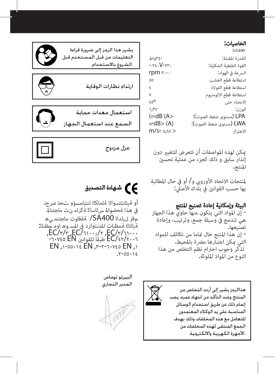#### الخاصيات:

|                                           | SA400                  |
|-------------------------------------------|------------------------|
| ۳۵۰واط                                    | القدرة المقننة:        |
| $\sim$ re $\cdot$ V-rr $\cdot$            | القوة الفلطبة الشكلبة: |
| rpm $r \cdots$                            | السرعة فى الهواء:      |
| ٥٥                                        | استطاعة قطع الخشب      |
| ٤                                         | استطاعة قطع الفولاذ    |
| $\lambda$                                 | استطاعة قطع الالومنيوم |
| ٤o°                                       | الانحناء حتى           |
| V, V                                      | الوزن:                 |
| (vrdB (A>                                 | LPA (مستوى ضغط الصوت): |
| $\triangle$ rd $B$ $\triangleright$ $(A)$ | LWA (مستوى ضغط الصوت): |
| m/sr 0,10 >                               | الاهتزاز               |
|                                           |                        |

ميكن لهذه املواصفات أن تتعرض للتغيري دون إنذار سابق و ذلك كجزء من عملية تحسين<br>المنتج.

لمنتجات الاتحاد الأوروبي و/ أو في حال المطالبة بها حسب القوانين في بلّدك الأصلّي:

# **البيئة وإمكانية إعادة تصنيع المنتج**<br>- إن المواد التي يتكون منها حاوي هذا الجهاز

هي تندمج في وسيلة جمع، وترتيب، وإعادة<br>تصنىعما. - إن هذا المنتج خال قاما من تكاثف للمواد<br>التي مكن اعتبارها مض ة بالمحيط. ِ تذكّر وجوب احترام نظم التخلص من هذا<br>النوع من المواد الملوثة**.** 

هذاالرمز بشير إلى أردت التخلص من المنتج وعند التأكد من انتهاء عمره, بجب إتمام ذلك عن طريق استخدام الوسائل المناسبة على بد الوكلاء المعتمدون للتعامل مع هذه المخلفات وذلك بهدف الجمع المنتقى لهذه المخلفات من .الأجهزة الكهربية والالكترونية



# **ع ك** شهادة التصديق (

أو ةيئانثتسواال ةلماكلا انتيلمسؤو تحت صرحن يف هذا ةحضوامل سلاساك ةكرام نت ماجتنامل مقر ليلدلا 400SA/ ةقفاوت ماجتنم يه ةيلاتلا ةمظنات املدنتوارد يف املس وه اوم مظنلل:  $E\overline{C}/r/r$ ,  $EC/\gamma\cdots/r$ ,  $EC/r/\gamma\cdots$ /42/2006EC طبقاً للقوانني EN -60745  $EN, 1-00.18$  EN,  $r-r-r$ .  $V\geq 0.18$ 



ألبيرتو توماس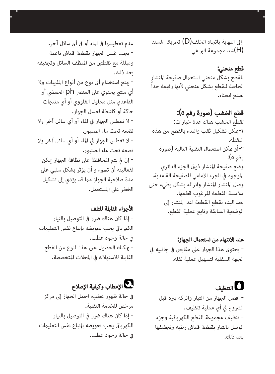إىل النهاية باتجاه الخلف)D )تحريك املسند )H)شد مجموعة الرباغي

# قطع منحني:

للقطع بشكل منحنى استعمال صفيحة المنشار الخاصة للقطع بشكل منحني ألنها رفيعة جداً لصنع انحناء.

# قطع الخشب (صورة رقم ٥):

لقطع الخشب هناك عدة خيارات: -1ميكن تشكيل ثقب والبدء بالقطع من هذه النقطة. -2أو ميكن استعامل التقنية التالية )صورة رقم 5(: وضع صفيحة املنشار فوق الجزء الدائري املوجود يف الجزء االمامي للصفيحة القاعدية. وصل املنشار املنشار وانزاله بشكل بطيء حتى مالمسة القطعة املرغوب قطعها. بعد البدء بقطع القطعة اعد املنشار إىل الوضعية السابقة وتابع عملية القطع.

عند الانتهاء من استعمال الجهاز: - يحتوي هذا الجهاز عىل مقابض يف جانبيه يف الجهة السفلية لتسهيل عملية نقله.

# التنظيف - افصل الجهاز من التيار واتركه يربد قبل الرشوع يف أي عملية تنظيف. - تنظيف مجموعة القطع الكهربائية وجزء الوصل بالتيار بقطعة قامش رطبة وتجفيفها بعد ذلك.

عدم تغطيسها في الماء أو في أي سائل آخر. - يجب غسل الجهاز بقطعة قامش ناعمة ومبللة مع نقطتني من املنظف السائل وتجفيفه - مينع استخدام أي نوع من أنواع املذيبات وال أي منتج يحتوي على العنصر ph الحمضى أو  $\pm$ القاعدي مثل محلول القلووي أو أي منتجات - ال تغطس الجهاز يف املاء أو أي سائل آخر وال - ال تغطس الجهاز يف املاء أو أي سائل آخر وال - إن مل يتم املحافظة عىل نظافة الجهاز ميكن لفعاليته أن تسوء و أن يؤثر بشكل سلبي عىل مدة صلاحية الجهاز مما قد يؤدى إلى تشكيل الخطر عىل املستعمل.

### األجزاء القابلة للتلف

- إذا كان هناك ضرر في التوصيل بالتيار الكهربايئ يجب تعويضه بإتباع نفس التعليامت يف حالة وجود عطب. - ميكنك الحصول عىل هذا النوع من القطع القابلة للاستهلاك في المحلات المتخصصة.

# اإلعطاب وكيفية اإلصالح

يف حالة ظهور عطب، احمل الجهاز إىل مركز مرخص للخدمة التقنية. - إذا كان هناك ضرر في التوصيل بالتيار الكهربايئ يجب تعويضه بإتباع نفس التعليامت يف حالة وجود عطب.

بعد ذلك. حاكة أو كاشطة لغسل الجهاز. تضعه تحت ماء الصنبور. تضعه تحت ماء الصنبور.